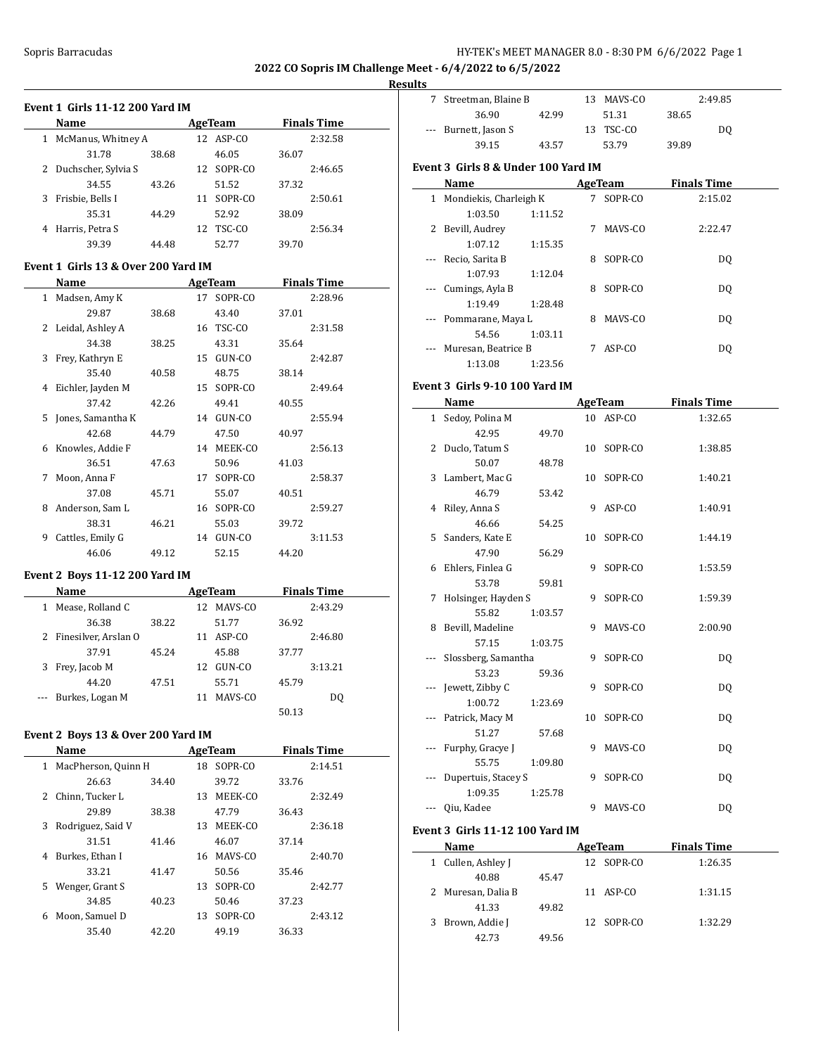# **Results**

|                | Event 1 Girls 11-12 200 Yard IM     |       |                |       |                    |
|----------------|-------------------------------------|-------|----------------|-------|--------------------|
|                | Name                                |       | <b>AgeTeam</b> |       | <b>Finals Time</b> |
| $\mathbf{1}$   | McManus, Whitney A                  |       | 12 ASP-CO      |       | 2:32.58            |
|                | 31.78                               | 38.68 | 46.05          | 36.07 |                    |
|                | 2 Duchscher, Sylvia S               |       | 12 SOPR-CO     |       | 2:46.65            |
|                | 34.55                               | 43.26 | 51.52          | 37.32 |                    |
| 3              | Frisbie, Bells I                    |       | 11 SOPR-CO     |       | 2:50.61            |
|                | 35.31                               | 44.29 | 52.92          | 38.09 |                    |
| 4              | Harris, Petra S                     |       | 12 TSC-CO      |       | 2:56.34            |
|                | 39.39                               | 44.48 | 52.77          | 39.70 |                    |
|                | Event 1 Girls 13 & Over 200 Yard IM |       |                |       |                    |
|                | Name                                |       | AgeTeam        |       | <b>Finals Time</b> |
|                | 1 Madsen, Amy K                     |       | 17 SOPR-CO     |       | 2:28.96            |
|                | 29.87                               | 38.68 | 43.40          | 37.01 |                    |
| $\overline{2}$ | Leidal, Ashley A                    |       | 16 TSC-CO      |       | 2:31.58            |
|                | 34.38                               | 38.25 | 43.31          | 35.64 |                    |
| 3              | Frey, Kathryn E                     |       | 15 GUN-CO      |       | 2:42.87            |
|                | 35.40                               | 40.58 | 48.75          | 38.14 |                    |
| 4              | Eichler, Jayden M                   |       | 15 SOPR-CO     |       | 2:49.64            |
|                | 37.42                               | 42.26 | 49.41          | 40.55 |                    |
| 5              | Jones, Samantha K                   |       | 14 GUN-CO      |       | 2:55.94            |
|                | 42.68                               | 44.79 | 47.50          | 40.97 |                    |
| 6.             | Knowles, Addie F                    |       | 14 MEEK-CO     |       | 2:56.13            |
|                | 36.51                               | 47.63 | 50.96          | 41.03 |                    |
| 7              | Moon, Anna F                        |       | 17 SOPR-CO     |       | 2:58.37            |
|                | 37.08                               | 45.71 | 55.07          | 40.51 |                    |
| 8              | Anderson, Sam L                     |       | 16 SOPR-CO     |       | 2:59.27            |
|                | 38.31                               | 46.21 | 55.03          | 39.72 |                    |
| 9              | Cattles, Emily G                    |       | 14 GUN-CO      |       | 3:11.53            |
|                | 46.06                               | 49.12 | 52.15          | 44.20 |                    |
|                | $B_1 = 44.49.900 M_{\odot}$ . J IM  |       |                |       |                    |

# **Event 2 Boys 11-12 200 Yard IM**

|   | <b>Name</b>            |       |     | AgeTeam |       | <b>Finals Time</b> |  |
|---|------------------------|-------|-----|---------|-------|--------------------|--|
|   | Mease, Rolland C       |       | 12. | MAVS-CO |       | 2:43.29            |  |
|   | 36.38                  | 38.22 |     | 51.77   | 36.92 |                    |  |
|   | 2 Finesilver, Arslan O |       | 11  | ASP-CO  |       | 2:46.80            |  |
|   | 37.91                  | 45.24 |     | 45.88   | 37.77 |                    |  |
| 3 | Frey, Jacob M          |       | 12  | GUN-CO  |       | 3:13.21            |  |
|   | 44.20                  | 47.51 |     | 55.71   | 45.79 |                    |  |
|   | Burkes, Logan M        |       | 11  | MAVS-CO |       | DO.                |  |
|   |                        |       |     |         | 50.13 |                    |  |

# **Event 2 Boys 13 & Over 200 Yard IM**

|   | Name                |       |    | <b>AgeTeam</b> |       | <b>Finals Time</b> |
|---|---------------------|-------|----|----------------|-------|--------------------|
| 1 | MacPherson, Quinn H |       | 18 | SOPR-CO        |       | 2:14.51            |
|   | 26.63               | 34.40 |    | 39.72          | 33.76 |                    |
| 2 | Chinn, Tucker L     |       | 13 | MEEK-CO        |       | 2:32.49            |
|   | 29.89               | 38.38 |    | 47.79          | 36.43 |                    |
| 3 | Rodriguez, Said V   |       | 13 | MEEK-CO        |       | 2:36.18            |
|   | 31.51               | 41.46 |    | 46.07          | 37.14 |                    |
| 4 | Burkes, Ethan I     |       | 16 | MAVS-CO        |       | 2:40.70            |
|   | 33.21               | 41.47 |    | 50.56          | 35.46 |                    |
| 5 | Wenger, Grant S     |       | 13 | SOPR-CO        |       | 2:42.77            |
|   | 34.85               | 40.23 |    | 50.46          | 37.23 |                    |
| 6 | Moon, Samuel D      |       | 13 | SOPR-CO        |       | 2:43.12            |
|   | 35.40               | 42.20 |    | 49.19          | 36.33 |                    |

| Streetman, Blaine B  |       | 13. | MAVS-CO   |       | 2:49.85 |  |
|----------------------|-------|-----|-----------|-------|---------|--|
| 36.90                | 42.99 |     | 51.31     | 38.65 |         |  |
| --- Burnett, Jason S |       |     | 13 TSC-CO |       | DO      |  |
| 39.15                | 43.57 |     | 53.79     | 39.89 |         |  |

# **Event 3 Girls 8 & Under 100 Yard IM**

|          | Name                   |         |   | AgeTeam | <b>Finals Time</b> |  |
|----------|------------------------|---------|---|---------|--------------------|--|
| 1        | Mondiekis, Charleigh K |         | 7 | SOPR-CO | 2:15.02            |  |
|          | 1:03.50                | 1:11.52 |   |         |                    |  |
| 2        | Bevill, Audrey         |         | 7 | MAVS-CO | 2:22.47            |  |
|          | 1:07.12                | 1:15.35 |   |         |                    |  |
|          | Recio, Sarita B        |         | 8 | SOPR-CO | D <sub>0</sub>     |  |
|          | 1:07.93                | 1:12.04 |   |         |                    |  |
| $\cdots$ | Cumings, Ayla B        |         | 8 | SOPR-CO | D <sub>0</sub>     |  |
|          | 1:19.49                | 1:28.48 |   |         |                    |  |
|          | --- Pommarane, Maya L  |         | 8 | MAVS-CO | D <sub>0</sub>     |  |
|          | 54.56                  | 1:03.11 |   |         |                    |  |
|          | Muresan, Beatrice B    |         |   | ASP-CO  | D <sub>0</sub>     |  |
|          | 1:13.08                | 1:23.56 |   |         |                    |  |

#### **Event 3 Girls 9-10 100 Yard IM**

|              | <b>Name</b>         |         |    | AgeTeam    | <b>Finals Time</b> |
|--------------|---------------------|---------|----|------------|--------------------|
| $\mathbf{1}$ | Sedoy, Polina M     |         |    | 10 ASP-CO  | 1:32.65            |
|              | 42.95               | 49.70   |    |            |                    |
|              | 2 Duclo, Tatum S    |         |    | 10 SOPR-CO | 1:38.85            |
|              | 50.07               | 48.78   |    |            |                    |
|              | 3 Lambert, Mac G    |         |    | 10 SOPR-CO | 1:40.21            |
|              | 46.79               | 53.42   |    |            |                    |
|              | 4 Riley, Anna S     |         | 9  | ASP-CO     | 1:40.91            |
|              | 46.66               | 54.25   |    |            |                    |
|              | 5 Sanders, Kate E   |         | 10 | SOPR-CO    | 1:44.19            |
|              | 47.90               | 56.29   |    |            |                    |
|              | 6 Ehlers, Finlea G  |         | 9  | SOPR-CO    | 1:53.59            |
|              | 53.78               | 59.81   |    |            |                    |
| 7            | Holsinger, Hayden S |         | 9  | SOPR-CO    | 1:59.39            |
|              | 55.82               | 1:03.57 |    |            |                    |
|              | 8 Bevill, Madeline  |         | 9  | MAVS-CO    | 2:00.90            |
|              | 57.15               | 1:03.75 |    |            |                    |
|              | Slossberg, Samantha |         | 9  | SOPR-CO    | D <sub>0</sub>     |
|              | 53.23               | 59.36   |    |            |                    |
|              | Jewett, Zibby C     |         | 9  | SOPR-CO    | DQ                 |
|              | 1:00.72             | 1:23.69 |    |            |                    |
|              | Patrick, Macy M     |         | 10 | SOPR-CO    | DQ                 |
|              | 51.27               | 57.68   |    |            |                    |
|              | Furphy, Gracye J    |         | 9  | MAVS-CO    | DQ                 |
|              | 55.75               | 1:09.80 |    |            |                    |
|              | Dupertuis, Stacey S |         |    | 9 SOPR-CO  | DQ                 |
|              | 1:09.35             | 1:25.78 |    |            |                    |
|              | Qiu, Kadee          |         | 9  | MAVS-CO    | DQ                 |
|              |                     |         |    |            |                    |

#### **Event 3 Girls 11-12 100 Yard IM**

| Name               | AgeTeam    | <b>Finals Time</b> |  |
|--------------------|------------|--------------------|--|
| 1 Cullen, Ashley J | 12 SOPR-CO | 1:26.35            |  |
| 40.88              | 45.47      |                    |  |
| 2 Muresan, Dalia B | 11 ASP-CO  | 1:31.15            |  |
| 41.33              | 49.82      |                    |  |
| 3 Brown, Addie J   | 12 SOPR-CO | 1:32.29            |  |
| 42.73              | 49.56      |                    |  |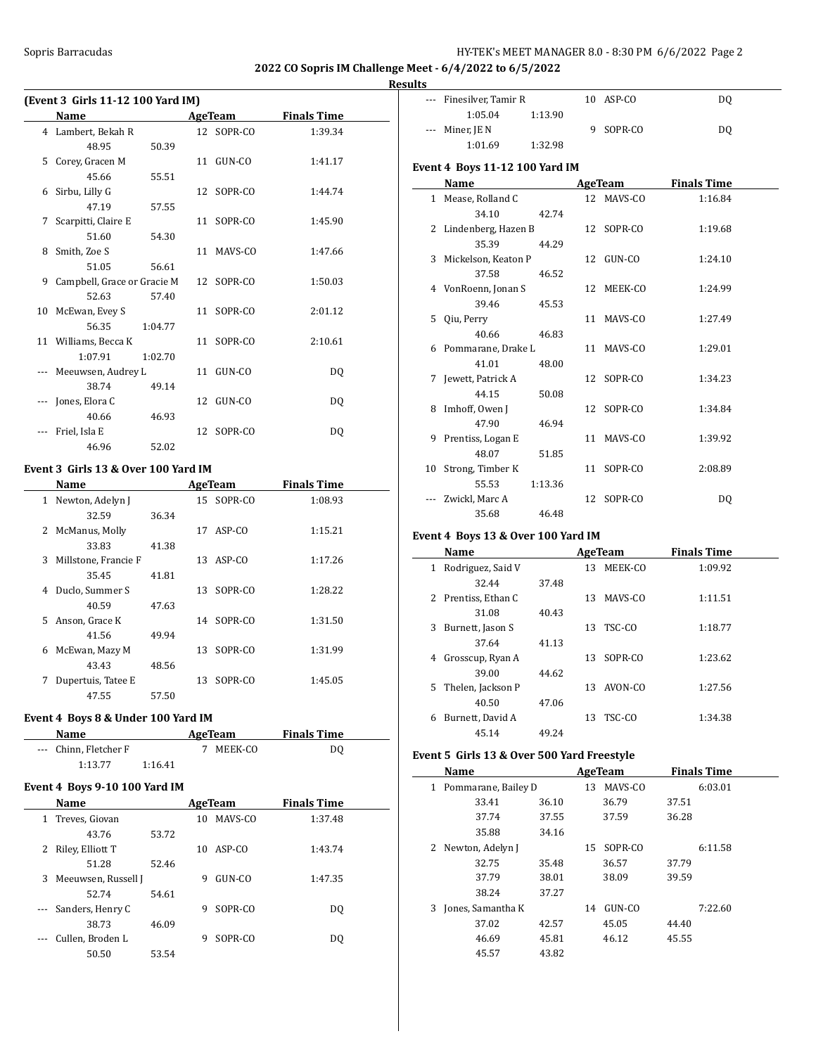#### Sopris Barracudas **HY-TEK's MEET MANAGER 8.0 - 8:30 PM 6/6/2022** Page 2

**2022 CO Sopris IM Challenge Meet - 6/4/2022 to 6/5/2022**

# **Results**

|   | (Event 3 Girls 11-12 100 Yard IM) |         |    |            |                    |  |  |
|---|-----------------------------------|---------|----|------------|--------------------|--|--|
|   | Name                              |         |    | AgeTeam    | <b>Finals Time</b> |  |  |
|   | 4 Lambert, Bekah R                |         |    | 12 SOPR-CO | 1:39.34            |  |  |
|   | 48.95                             | 50.39   |    |            |                    |  |  |
| 5 | Corey, Gracen M                   |         |    | 11 GUN-CO  | 1:41.17            |  |  |
|   | 45.66                             | 55.51   |    |            |                    |  |  |
| 6 | Sirbu, Lilly G                    |         |    | 12 SOPR-CO | 1:44.74            |  |  |
|   | 47.19                             | 57.55   |    |            |                    |  |  |
| 7 | Scarpitti, Claire E               |         |    | 11 SOPR-CO | 1:45.90            |  |  |
|   | 51.60                             | 54.30   |    |            |                    |  |  |
| 8 | Smith, Zoe S                      |         |    | 11 MAVS-CO | 1:47.66            |  |  |
|   | 51.05                             | 56.61   |    |            |                    |  |  |
| 9 | Campbell, Grace or Gracie M       |         |    | 12 SOPR-CO | 1:50.03            |  |  |
|   | 52.63                             | 57.40   |    |            |                    |  |  |
|   | 10 McEwan, Evey S                 |         |    | 11 SOPR-CO | 2:01.12            |  |  |
|   | 56.35                             | 1:04.77 |    |            |                    |  |  |
|   | 11 Williams, Becca K              |         |    | 11 SOPR-CO | 2:10.61            |  |  |
|   | 1:07.91                           | 1:02.70 |    |            |                    |  |  |
|   | Meeuwsen, Audrey L                |         |    | 11 GUN-CO  | DO.                |  |  |
|   | 38.74                             | 49.14   |    |            |                    |  |  |
|   | Jones, Elora C                    |         |    | 12 GUN-CO  | DO.                |  |  |
|   | 40.66                             | 46.93   |    |            |                    |  |  |
|   | Friel, Isla E                     |         | 12 | SOPR-CO    | DQ                 |  |  |
|   | 46.96                             | 52.02   |    |            |                    |  |  |

# **Event 3 Girls 13 & Over 100 Yard IM**

|              | Name                 |       |    | <b>AgeTeam</b> | <b>Finals Time</b> |
|--------------|----------------------|-------|----|----------------|--------------------|
| $\mathbf{1}$ | Newton, Adelyn J     |       |    | 15 SOPR-CO     | 1:08.93            |
|              | 32.59                | 36.34 |    |                |                    |
| 2            | McManus, Molly       |       | 17 | ASP-CO         | 1:15.21            |
|              | 33.83                | 41.38 |    |                |                    |
| 3            | Millstone, Francie F |       | 13 | ASP-CO         | 1:17.26            |
|              | 35.45                | 41.81 |    |                |                    |
|              | 4 Duclo, Summer S    |       | 13 | SOPR-CO        | 1:28.22            |
|              | 40.59                | 47.63 |    |                |                    |
| 5.           | Anson, Grace K       |       |    | 14 SOPR-CO     | 1:31.50            |
|              | 41.56                | 49.94 |    |                |                    |
| 6            | McEwan, Mazy M       |       | 13 | SOPR-CO        | 1:31.99            |
|              | 43.43                | 48.56 |    |                |                    |
| 7            | Dupertuis, Tatee E   |       | 13 | SOPR-CO        | 1:45.05            |
|              | 47.55                | 57.50 |    |                |                    |

# **Event 4 Boys 8 & Under 100 Yard IM**

| <b>Name</b>           |         | AgeTeam | <b>Finals Time</b> |  |
|-----------------------|---------|---------|--------------------|--|
| --- Chinn. Fletcher F |         | MEEK-CO | DO                 |  |
| 1:13.77               | 1:16.41 |         |                    |  |

#### **Event 4 Boys 9-10 100 Yard IM**

|                                                                                                                                                                                                                                                                                                                                                                                              | <b>Name</b>         |       |    | AgeTeam      | <b>Finals Time</b> |  |
|----------------------------------------------------------------------------------------------------------------------------------------------------------------------------------------------------------------------------------------------------------------------------------------------------------------------------------------------------------------------------------------------|---------------------|-------|----|--------------|--------------------|--|
| 1                                                                                                                                                                                                                                                                                                                                                                                            | Treves, Giovan      |       | 10 | MAVS-CO      | 1:37.48            |  |
|                                                                                                                                                                                                                                                                                                                                                                                              | 43.76               | 53.72 |    |              |                    |  |
| 2                                                                                                                                                                                                                                                                                                                                                                                            | Riley, Elliott T    |       | 10 | $ASP$ - $CO$ | 1:43.74            |  |
|                                                                                                                                                                                                                                                                                                                                                                                              | 51.28               | 52.46 |    |              |                    |  |
| 3                                                                                                                                                                                                                                                                                                                                                                                            | Meeuwsen, Russell J |       | 9  | GUN-CO       | 1:47.35            |  |
|                                                                                                                                                                                                                                                                                                                                                                                              | 52.74               | 54.61 |    |              |                    |  |
|                                                                                                                                                                                                                                                                                                                                                                                              | Sanders, Henry C    |       | 9  | SOPR-CO      | DO.                |  |
|                                                                                                                                                                                                                                                                                                                                                                                              | 38.73               | 46.09 |    |              |                    |  |
| $\frac{1}{2} \frac{1}{2} \frac{1}{2} \frac{1}{2} \frac{1}{2} \frac{1}{2} \frac{1}{2} \frac{1}{2} \frac{1}{2} \frac{1}{2} \frac{1}{2} \frac{1}{2} \frac{1}{2} \frac{1}{2} \frac{1}{2} \frac{1}{2} \frac{1}{2} \frac{1}{2} \frac{1}{2} \frac{1}{2} \frac{1}{2} \frac{1}{2} \frac{1}{2} \frac{1}{2} \frac{1}{2} \frac{1}{2} \frac{1}{2} \frac{1}{2} \frac{1}{2} \frac{1}{2} \frac{1}{2} \frac{$ | Cullen, Broden L    |       | 9  | SOPR-CO      | DO.                |  |
|                                                                                                                                                                                                                                                                                                                                                                                              | 50.50               | 53.54 |    |              |                    |  |

| --- Finesilver, Tamir R | 10 ASP-CO | DO |
|-------------------------|-----------|----|
| 1:05.04<br>1:13.90      |           |    |
| $--$ Miner, JE N        | 9 SOPR-CO | DO |
| 1:32.98<br>1:01.69      |           |    |

# **Event 4 Boys 11-12 100 Yard IM**

|    | Name                  | AgeTeam |  |            | <b>Finals Time</b> |  |
|----|-----------------------|---------|--|------------|--------------------|--|
|    | 1 Mease, Rolland C    |         |  | 12 MAVS-CO | 1:16.84            |  |
|    | 34.10                 | 42.74   |  |            |                    |  |
|    | 2 Lindenberg, Hazen B |         |  | 12 SOPR-CO | 1:19.68            |  |
|    | 35.39                 | 44.29   |  |            |                    |  |
|    | 3 Mickelson, Keaton P |         |  | 12 GUN-CO  | 1:24.10            |  |
|    | 37.58                 | 46.52   |  |            |                    |  |
|    | 4 VonRoenn, Jonan S   |         |  | 12 MEEK-CO | 1:24.99            |  |
|    | 39.46                 | 45.53   |  |            |                    |  |
|    | 5 Qiu, Perry          |         |  | 11 MAVS-CO | 1:27.49            |  |
|    | 40.66                 | 46.83   |  |            |                    |  |
|    | 6 Pommarane, Drake L  |         |  | 11 MAVS-CO | 1:29.01            |  |
|    | 41.01                 | 48.00   |  |            |                    |  |
|    | 7 Jewett, Patrick A   |         |  | 12 SOPR-CO | 1:34.23            |  |
|    | 44.15                 | 50.08   |  |            |                    |  |
|    | 8 Imhoff, Owen J      |         |  | 12 SOPR-CO | 1:34.84            |  |
|    | 47.90                 | 46.94   |  |            |                    |  |
|    | 9 Prentiss, Logan E   |         |  | 11 MAVS-CO | 1:39.92            |  |
|    | 48.07                 | 51.85   |  |            |                    |  |
| 10 | Strong, Timber K      |         |  | 11 SOPR-CO | 2:08.89            |  |
|    | 55.53                 | 1:13.36 |  |            |                    |  |
|    | Zwickl. Marc A        |         |  | 12 SOPR-CO | D <sub>0</sub>     |  |
|    | 35.68                 | 46.48   |  |            |                    |  |

# **Event 4 Boys 13 & Over 100 Yard IM**

 $\overline{\phantom{a}}$ 

 $\overline{a}$ 

|    | Name              |       |     | AgeTeam | <b>Finals Time</b> |
|----|-------------------|-------|-----|---------|--------------------|
| 1  | Rodriguez, Said V |       | 13  | MEEK-CO | 1:09.92            |
|    | 32.44             | 37.48 |     |         |                    |
| 2  | Prentiss, Ethan C |       | 13. | MAVS-CO | 1:11.51            |
|    | 31.08             | 40.43 |     |         |                    |
| 3  | Burnett, Jason S  |       | 13  | TSC-CO  | 1:18.77            |
|    | 37.64             | 41.13 |     |         |                    |
| 4  | Grosscup, Ryan A  |       | 13  | SOPR-CO | 1:23.62            |
|    | 39.00             | 44.62 |     |         |                    |
| 5. | Thelen, Jackson P |       | 13  | AVON-CO | 1:27.56            |
|    | 40.50             | 47.06 |     |         |                    |
| 6  | Burnett, David A  |       | 13  | TSC-CO  | 1:34.38            |
|    | 45.14             | 49.24 |     |         |                    |

# **Event 5 Girls 13 & Over 500 Yard Freestyle**

|   | Name                |       |    | AgeTeam |       | <b>Finals Time</b> |
|---|---------------------|-------|----|---------|-------|--------------------|
| 1 | Pommarane, Bailey D |       | 13 | MAVS-CO |       | 6:03.01            |
|   | 33.41               | 36.10 |    | 36.79   | 37.51 |                    |
|   | 37.74               | 37.55 |    | 37.59   | 36.28 |                    |
|   | 35.88               | 34.16 |    |         |       |                    |
| 2 | Newton, Adelyn J    |       | 15 | SOPR-CO |       | 6:11.58            |
|   | 32.75               | 35.48 |    | 36.57   | 37.79 |                    |
|   | 37.79               | 38.01 |    | 38.09   | 39.59 |                    |
|   | 38.24               | 37.27 |    |         |       |                    |
| 3 | Jones, Samantha K   |       | 14 | GUN-CO  |       | 7:22.60            |
|   | 37.02               | 42.57 |    | 45.05   | 44.40 |                    |
|   | 46.69               | 45.81 |    | 46.12   | 45.55 |                    |
|   | 45.57               | 43.82 |    |         |       |                    |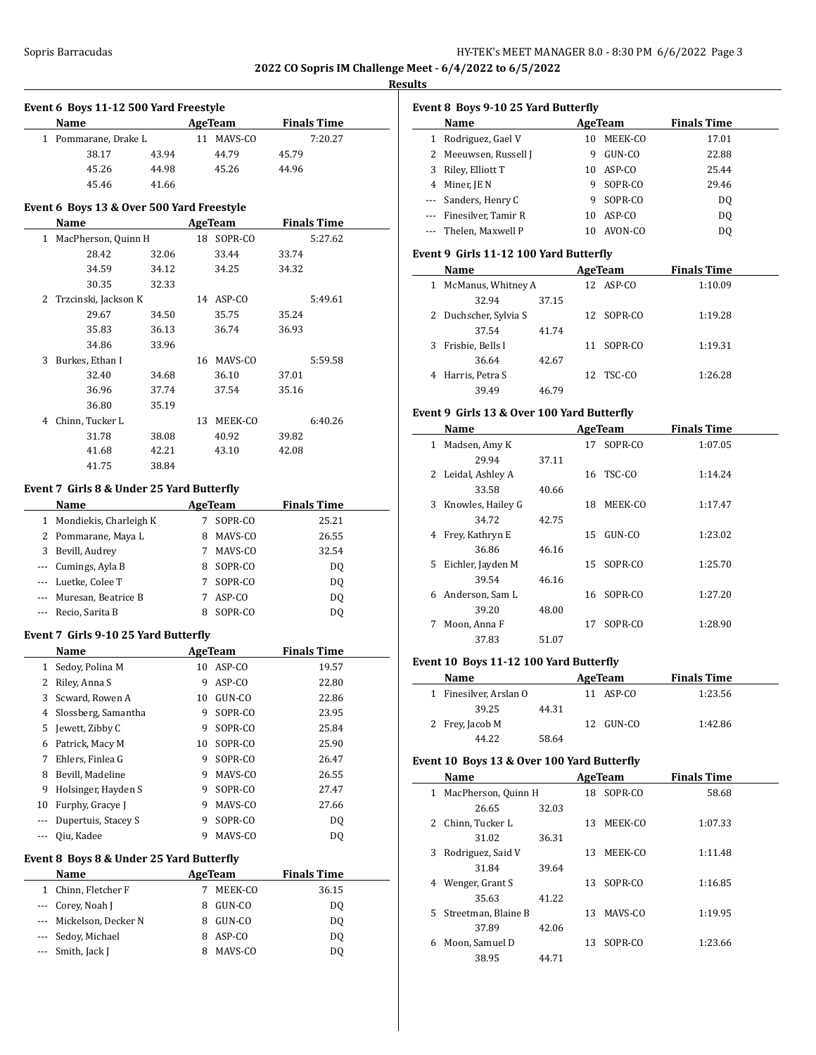**Results**

|              | Event 6 Boys 11-12 500 Yard Freestyle     |       |    |                |                    |
|--------------|-------------------------------------------|-------|----|----------------|--------------------|
|              | Name                                      |       |    | <b>AgeTeam</b> | <b>Finals Time</b> |
| $\mathbf{1}$ | Pommarane, Drake L                        |       |    | 11 MAVS-CO     | 7:20.27            |
|              | 38.17                                     | 43.94 |    | 44.79          | 45.79              |
|              | 45.26                                     | 44.98 |    | 45.26          | 44.96              |
|              | 45.46                                     | 41.66 |    |                |                    |
|              | Event 6 Boys 13 & Over 500 Yard Freestyle |       |    |                |                    |
|              | <b>Name</b>                               |       |    | <b>AgeTeam</b> | <b>Finals Time</b> |
|              | 1 MacPherson, Quinn H                     |       |    | 18 SOPR-CO     | 5:27.62            |
|              | 28.42                                     | 32.06 |    | 33.44          | 33.74              |
|              | 34.59                                     | 34.12 |    | 34.25          | 34.32              |
|              | 30.35                                     | 32.33 |    |                |                    |
|              | 2 Trzcinski, Jackson K                    |       |    | 14 ASP-CO      | 5:49.61            |
|              | 29.67                                     | 34.50 |    | 35.75          | 35.24              |
|              | 35.83                                     | 36.13 |    | 36.74          | 36.93              |
|              | 34.86                                     | 33.96 |    |                |                    |
| 3            | Burkes, Ethan I                           |       |    | 16 MAVS-CO     | 5:59.58            |
|              | 32.40                                     | 34.68 |    | 36.10          | 37.01              |
|              | 36.96                                     | 37.74 |    | 37.54          | 35.16              |
|              | 36.80                                     | 35.19 |    |                |                    |
|              | 4 Chinn, Tucker L                         |       |    | 13 MEEK-CO     | 6:40.26            |
|              | 31.78                                     | 38.08 |    | 40.92          | 39.82              |
|              | 41.68                                     | 42.21 |    | 43.10          | 42.08              |
|              | 41.75                                     | 38.84 |    |                |                    |
|              | Event 7 Girls 8 & Under 25 Yard Butterfly |       |    |                |                    |
|              | Name                                      |       |    | <b>AgeTeam</b> | <b>Finals Time</b> |
|              | 1 Mondiekis, Charleigh K                  |       | 7  | SOPR-CO        | 25.21              |
|              | 2 Pommarane, Maya L                       |       |    | 8 MAVS-CO      | 26.55              |
|              | 3 Bevill, Audrey                          |       |    | 7 MAVS-CO      | 32.54              |
|              | --- Cumings, Ayla B                       |       |    | 8 SOPR-CO      | DQ                 |
|              | --- Luetke, Colee T                       |       |    | 7 SOPR-CO      | DQ                 |
|              | --- Muresan, Beatrice B                   |       |    | 7 ASP-CO       | DQ                 |
| $\cdots$     | Recio, Sarita B                           |       |    | 8 SOPR-CO      | DQ                 |
|              | Event 7 Girls 9-10 25 Yard Butterfly      |       |    |                |                    |
|              | <b>Name</b>                               |       |    | <b>AgeTeam</b> | <b>Finals Time</b> |
| $\mathbf{1}$ | Sedoy, Polina M                           |       |    | 10 ASP-CO      | 19.57              |
|              | 2 Riley, Anna S                           |       | 9  | ASP-CO         | 22.80              |
| 3            | Scward, Rowen A                           |       | 10 | GUN-CO         | 22.86              |
| 4            | Slossberg, Samantha                       |       | 9  | SOPR-CO        | 23.95              |
| 5            | Jewett, Zibby C                           |       | 9  | SOPR-CO        | 25.84              |
| 6            | Patrick, Macy M                           |       | 10 | SOPR-CO        | 25.90              |
| 7            | Ehlers, Finlea G                          |       | 9  | SOPR-CO        | 26.47              |
| 8            | Bevill, Madeline                          |       | 9  | MAVS-CO        | 26.55              |
| 9            | Holsinger, Hayden S                       |       | 9  | SOPR-CO        | 27.47              |
| 10           | Furphy, Gracye J                          |       | 9  | MAVS-CO        | 27.66              |
|              | Dupertuis, Stacey S                       |       | 9  | SOPR-CO        |                    |
| ---<br>---   | Qiu, Kadee                                |       | 9  | MAVS-CO        | DQ                 |
|              |                                           |       |    |                | DQ                 |
|              | Event 8 Boys 8 & Under 25 Yard Butterfly  |       |    |                |                    |
|              | Name                                      |       |    | <b>AgeTeam</b> | <b>Finals Time</b> |
| 1            | Chinn, Fletcher F                         |       | 7  | MEEK-CO        | 36.15              |
| ---          | Corey, Noah J                             |       | 8  | GUN-CO         | DQ                 |
| ---          | Mickelson, Decker N                       |       | 8  | GUN-CO         | DQ                 |
| ---          | Sedoy, Michael                            |       | 8  | ASP-CO         | DQ                 |
| ---          | Smith, Jack J                             |       | 8  | MAVS-CO        | DQ                 |

| Event 8 Boys 9-10 25 Yard Butterfly |  |  |  |  |  |  |  |  |
|-------------------------------------|--|--|--|--|--|--|--|--|
| <b>Finals Time</b>                  |  |  |  |  |  |  |  |  |
| 17.01                               |  |  |  |  |  |  |  |  |
| 22.88                               |  |  |  |  |  |  |  |  |
| 25.44                               |  |  |  |  |  |  |  |  |
| 29.46                               |  |  |  |  |  |  |  |  |
| D <sub>0</sub>                      |  |  |  |  |  |  |  |  |
| D <sub>0</sub>                      |  |  |  |  |  |  |  |  |
| DO                                  |  |  |  |  |  |  |  |  |
|                                     |  |  |  |  |  |  |  |  |

# **Event 9 Girls 11-12 100 Yard Butterfly**

|   | Name                  |       |    | AgeTeam    | <b>Finals Time</b> |  |
|---|-----------------------|-------|----|------------|--------------------|--|
| 1 | McManus, Whitney A    |       |    | 12 ASP-CO  | 1:10.09            |  |
|   | 32.94                 | 37.15 |    |            |                    |  |
|   | 2 Duchscher, Sylvia S |       |    | 12 SOPR-CO | 1:19.28            |  |
|   | 37.54                 | 41.74 |    |            |                    |  |
| 3 | Frisbie, Bells I      |       | 11 | SOPR-CO    | 1:19.31            |  |
|   | 36.64                 | 42.67 |    |            |                    |  |
| 4 | Harris, Petra S       |       |    | 12 TSC-CO  | 1:26.28            |  |
|   | 39.49                 | 46.79 |    |            |                    |  |

# **Event 9 Girls 13 & Over 100 Yard Butterfly**

|    | Name              |       |    | AgeTeam    | <b>Finals Time</b> |  |
|----|-------------------|-------|----|------------|--------------------|--|
| 1  | Madsen, Amy K     |       |    | 17 SOPR-CO | 1:07.05            |  |
|    | 29.94             | 37.11 |    |            |                    |  |
| 2  | Leidal, Ashley A  |       |    | 16 TSC-CO  | 1:14.24            |  |
|    | 33.58             | 40.66 |    |            |                    |  |
| 3  | Knowles, Hailey G |       | 18 | MEEK-CO    | 1:17.47            |  |
|    | 34.72             | 42.75 |    |            |                    |  |
| 4  | Frey, Kathryn E   |       |    | 15 GUN-CO  | 1:23.02            |  |
|    | 36.86             | 46.16 |    |            |                    |  |
| 5. | Eichler, Jayden M |       |    | 15 SOPR-CO | 1:25.70            |  |
|    | 39.54             | 46.16 |    |            |                    |  |
| 6  | Anderson, Sam L   |       |    | 16 SOPR-CO | 1:27.20            |  |
|    | 39.20             | 48.00 |    |            |                    |  |
| 7  | Moon, Anna F      |       | 17 | SOPR-CO    | 1:28.90            |  |
|    | 37.83             | 51.07 |    |            |                    |  |

# **Event 10 Boys 11-12 100 Yard Butterfly**

| Name                   | AgeTeam | <b>Finals Time</b> |         |
|------------------------|---------|--------------------|---------|
| 1 Finesilver, Arslan O |         | 11 ASP-CO          | 1:23.56 |
| 39.25                  | 44.31   |                    |         |
| 2 Frey, Jacob M        |         | 12 GUN-CO          | 1:42.86 |
| 44.22                  | 58.64   |                    |         |

# **Event 10 Boys 13 & Over 100 Yard Butterfly**

|              | Name                |       |    | AgeTeam | <b>Finals Time</b> |  |  |
|--------------|---------------------|-------|----|---------|--------------------|--|--|
| $\mathbf{1}$ | MacPherson, Quinn H |       | 18 | SOPR-CO | 58.68              |  |  |
|              | 26.65               | 32.03 |    |         |                    |  |  |
| 2            | Chinn, Tucker L     |       | 13 | MEEK-CO | 1:07.33            |  |  |
|              | 31.02               | 36.31 |    |         |                    |  |  |
| 3            | Rodriguez, Said V   |       | 13 | MEEK-CO | 1:11.48            |  |  |
|              | 31.84               | 39.64 |    |         |                    |  |  |
| 4            | Wenger, Grant S     |       | 13 | SOPR-CO | 1:16.85            |  |  |
|              | 35.63               | 41.22 |    |         |                    |  |  |
| 5.           | Streetman, Blaine B |       | 13 | MAVS-CO | 1:19.95            |  |  |
|              | 37.89               | 42.06 |    |         |                    |  |  |
| 6            | Moon, Samuel D      |       | 13 | SOPR-CO | 1:23.66            |  |  |
|              | 38.95               | 44.71 |    |         |                    |  |  |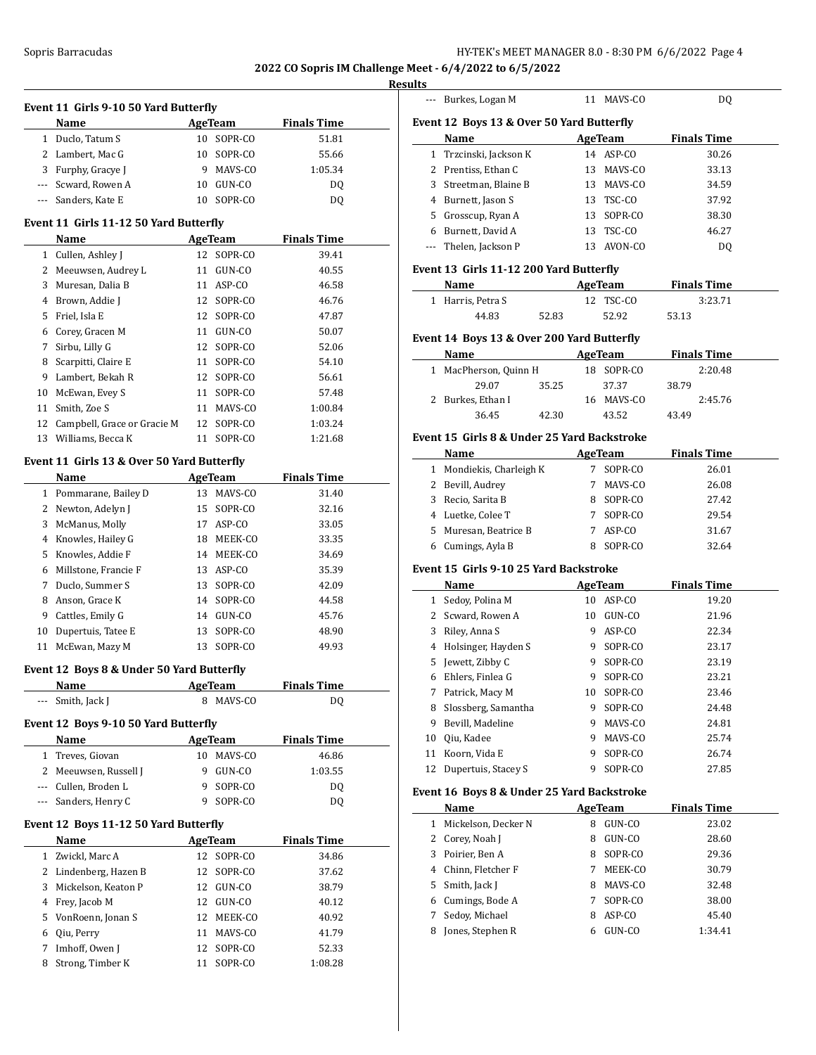# **Results**

 $\overline{\phantom{a}}$ 

|             | Event 11 Girls 9-10 50 Yard Butterfly<br>Name |    | AgeTeam                  | <b>Finals Time</b> |
|-------------|-----------------------------------------------|----|--------------------------|--------------------|
| 1           | Duclo, Tatum S                                |    | 10 SOPR-CO               | 51.81              |
| 2           | Lambert, Mac G                                | 10 | SOPR-CO                  | 55.66              |
|             | 3 Furphy, Gracye J                            | 9  | MAVS-CO                  | 1:05.34            |
|             | --- Scward, Rowen A                           |    | 10 GUN-CO                | DQ                 |
|             | --- Sanders, Kate E                           |    | 10 SOPR-CO               | DQ                 |
|             |                                               |    |                          |                    |
|             | Event 11 Girls 11-12 50 Yard Butterfly        |    |                          |                    |
|             | Name                                          |    | <b>AgeTeam</b>           | <b>Finals Time</b> |
|             | 1 Cullen, Ashley J                            |    | 12 SOPR-CO               | 39.41              |
|             | 2 Meeuwsen, Audrey L                          |    | 11 GUN-CO                | 40.55              |
| 3           | Muresan, Dalia B                              |    | 11 ASP-CO                | 46.58              |
| 4           | Brown, Addie J                                |    | 12 SOPR-CO               | 46.76              |
| 5           | Friel, Isla E                                 |    | 12 SOPR-CO               | 47.87              |
| 6<br>7      | Corey, Gracen M                               |    | 11 GUN-CO                | 50.07              |
|             | Sirbu, Lilly G                                | 12 | SOPR-CO                  | 52.06              |
| 8           | Scarpitti, Claire E<br>Lambert, Bekah R       | 11 | SOPR-CO                  | 54.10              |
| 9<br>10     | McEwan, Evey S                                | 11 | 12 SOPR-CO               | 56.61<br>57.48     |
| 11          | Smith, Zoe S                                  |    | SOPR-CO                  |                    |
| 12          | Campbell, Grace or Gracie M                   |    | 11 MAVS-CO<br>12 SOPR-CO | 1:00.84<br>1:03.24 |
|             | 13 Williams, Becca K                          |    | 11 SOPR-CO               | 1:21.68            |
|             |                                               |    |                          |                    |
|             | Event 11 Girls 13 & Over 50 Yard Butterfly    |    |                          |                    |
|             | <b>Name</b>                                   |    | AgeTeam                  | <b>Finals Time</b> |
|             | 1 Pommarane, Bailey D                         |    | 13 MAVS-CO               | 31.40              |
| 2           | Newton, Adelyn J                              | 15 | SOPR-CO                  | 32.16              |
| 3           | McManus, Molly                                |    | 17 ASP-CO                | 33.05              |
| 4           | Knowles, Hailey G                             |    | 18 MEEK-CO               | 33.35              |
| 5           | Knowles, Addie F                              |    | 14 MEEK-CO               | 34.69              |
| 6           | Millstone, Francie F                          |    | 13 ASP-CO                | 35.39              |
| 7           | Duclo, Summer S                               | 13 | SOPR-CO                  | 42.09              |
| 8           | Anson, Grace K                                |    | 14 SOPR-CO               | 44.58              |
| 9           | Cattles, Emily G                              |    | 14 GUN-CO                | 45.76              |
| 10          | Dupertuis, Tatee E                            | 13 | SOPR-CO                  | 48.90              |
| 11          | McEwan, Mazy M                                |    | 13 SOPR-CO               | 49.93              |
|             | Event 12 Boys 8 & Under 50 Yard Butterfly     |    |                          |                    |
|             | Name                                          |    | <b>AgeTeam</b>           | <b>Finals Time</b> |
|             | Smith, Jack J                                 |    | 8 MAVS-CO                | DQ                 |
|             | Event 12 Boys 9-10 50 Yard Butterfly          |    |                          |                    |
|             | Name                                          |    | AgeTeam                  | <b>Finals Time</b> |
| $\mathbf 1$ | Treves, Giovan                                | 10 | MAVS-CO                  | 46.86              |
|             | 2 Meeuwsen, Russell J                         | 9  | GUN-CO                   | 1:03.55            |
|             | --- Cullen, Broden L                          | 9  | SOPR-CO                  | DQ                 |
|             | --- Sanders, Henry C                          | 9  | SOPR-CO                  | DQ                 |
|             | Event 12 Boys 11-12 50 Yard Butterfly         |    |                          |                    |
|             | Name                                          |    | <b>AgeTeam</b>           | <b>Finals Time</b> |
|             | 1 Zwickl, Marc A                              |    | 12 SOPR-CO               | 34.86              |
|             | 2 Lindenberg, Hazen B                         | 12 | SOPR-CO                  | 37.62              |
|             |                                               |    | 12 GUN-CO                | 38.79              |
| 3           |                                               |    |                          |                    |
| 4           | Mickelson, Keaton P                           |    |                          |                    |
| 5           | Frey, Jacob M                                 | 12 | 12 GUN-CO                | 40.12              |
| 6           | VonRoenn, Jonan S                             | 11 | MEEK-CO<br>MAVS-CO       | 40.92<br>41.79     |
| 7           | Qiu, Perry<br>Imhoff, Owen J                  | 12 | SOPR-CO                  | 52.33              |

|              | Burkes, Logan M                             |       |                | 11 MAVS-CO     | DQ                 |  |  |  |  |
|--------------|---------------------------------------------|-------|----------------|----------------|--------------------|--|--|--|--|
|              |                                             |       |                |                |                    |  |  |  |  |
|              | Event 12 Boys 13 & Over 50 Yard Butterfly   |       |                |                |                    |  |  |  |  |
|              | Name                                        |       |                | AgeTeam        | <b>Finals Time</b> |  |  |  |  |
|              | 1 Trzcinski, Jackson K                      |       |                | 14 ASP-CO      | 30.26              |  |  |  |  |
|              | 2 Prentiss. Ethan C                         |       |                | 13 MAVS-CO     | 33.13              |  |  |  |  |
|              | 3 Streetman, Blaine B                       |       |                | 13 MAVS-CO     | 34.59              |  |  |  |  |
|              | 4 Burnett, Jason S                          |       |                | 13 TSC-CO      | 37.92              |  |  |  |  |
|              | 5 Grosscup, Ryan A                          |       |                | 13 SOPR-CO     | 38.30              |  |  |  |  |
|              | 6 Burnett, David A                          |       |                | 13 TSC-CO      | 46.27              |  |  |  |  |
|              | --- Thelen, Jackson P                       |       |                | 13 AVON-CO     | DQ                 |  |  |  |  |
|              | Event 13 Girls 11-12 200 Yard Butterfly     |       |                |                |                    |  |  |  |  |
|              | Name                                        |       |                | <b>AgeTeam</b> | <b>Finals Time</b> |  |  |  |  |
|              | 1 Harris, Petra S                           |       |                | 12 TSC-CO      | 3:23.71            |  |  |  |  |
|              | 44.83                                       | 52.83 |                | 52.92          | 53.13              |  |  |  |  |
|              |                                             |       |                |                |                    |  |  |  |  |
|              | Event 14 Boys 13 & Over 200 Yard Butterfly  |       |                |                |                    |  |  |  |  |
|              | Name                                        |       |                | AgeTeam        | <b>Finals Time</b> |  |  |  |  |
| $\mathbf{1}$ | MacPherson, Quinn H                         |       |                | 18 SOPR-CO     | 2:20.48            |  |  |  |  |
|              | 29.07                                       | 35.25 |                | 37.37          | 38.79              |  |  |  |  |
|              | 2 Burkes, Ethan I                           |       |                | 16 MAVS-CO     | 2:45.76            |  |  |  |  |
|              | 36.45                                       | 42.30 |                | 43.52          | 43.49              |  |  |  |  |
|              | Event 15 Girls 8 & Under 25 Yard Backstroke |       |                |                |                    |  |  |  |  |
|              | Name                                        |       |                | <b>AgeTeam</b> | <b>Finals Time</b> |  |  |  |  |
|              | 1 Mondiekis, Charleigh K                    |       |                | 7 SOPR-CO      | 26.01              |  |  |  |  |
|              | 2 Bevill, Audrey                            |       |                | 7 MAVS-CO      | 26.08              |  |  |  |  |
|              | 3 Recio, Sarita B                           |       |                | 8 SOPR-CO      | 27.42              |  |  |  |  |
|              | 4 Luetke, Colee T                           |       |                | 7 SOPR-CO      | 29.54              |  |  |  |  |
|              | 5 Muresan, Beatrice B                       |       |                | 7 ASP-CO       | 31.67              |  |  |  |  |
|              | 6 Cumings, Ayla B                           |       |                | 8 SOPR-CO      | 32.64              |  |  |  |  |
|              |                                             |       |                |                |                    |  |  |  |  |
|              | Event 15 Girls 9-10 25 Yard Backstroke      |       |                |                |                    |  |  |  |  |
|              | Name                                        |       |                | <b>AgeTeam</b> | <b>Finals Time</b> |  |  |  |  |
|              | 1 Sedoy, Polina M                           |       |                | 10 ASP-CO      | 19.20              |  |  |  |  |
|              | 2 Scward, Rowen A                           |       |                | 10 GUN-CO      | 21.96              |  |  |  |  |
|              | 3 Riley, Anna S                             |       |                | 9 ASP-CO       | 22.34              |  |  |  |  |
|              | 4 Holsinger, Hayden S                       |       |                | 9 SOPR-CO      | 23.17              |  |  |  |  |
|              | 5 Jewett, Zibby C                           |       |                | 9 SOPR-CO      | 23.19              |  |  |  |  |
|              | 6 Ehlers. Finlea G                          |       | 9.             | SOPR-CO        | 23.21              |  |  |  |  |
| 7            | Patrick, Macy M                             |       | 10             | SOPR-CO        | 23.46              |  |  |  |  |
| 8            | Slossberg, Samantha                         |       | 9              | SOPR-CO        | 24.48              |  |  |  |  |
| 9            | Bevill, Madeline                            |       | 9.             | MAVS-CO        | 24.81              |  |  |  |  |
| 10           | Qiu, Kadee                                  |       | 9.             | MAVS-CO        | 25.74              |  |  |  |  |
| 11           | Koorn, Vida E                               |       | 9              | SOPR-CO        | 26.74              |  |  |  |  |
| 12           | Dupertuis, Stacey S                         |       | 9              | SOPR-CO        | 27.85              |  |  |  |  |
|              | Event 16 Boys 8 & Under 25 Yard Backstroke  |       |                |                |                    |  |  |  |  |
|              | Name                                        |       | <b>AgeTeam</b> |                | <b>Finals Time</b> |  |  |  |  |
| 1            | Mickelson, Decker N                         |       | 8              | GUN-CO         | 23.02              |  |  |  |  |
| 2            | Corey, Noah J                               |       | 8              | GUN-CO         | 28.60              |  |  |  |  |
| 3            | Poirier, Ben A                              |       | 8              | SOPR-CO        | 29.36              |  |  |  |  |
| 4            | Chinn, Fletcher F                           |       | 7              | MEEK-CO        | 30.79              |  |  |  |  |
| 5            | Smith, Jack J                               |       |                | 8 MAVS-CO      | 32.48              |  |  |  |  |
| 6            | Cumings, Bode A                             |       | 7              | SOPR-CO        | 38.00              |  |  |  |  |
| 7            | Sedoy, Michael                              |       | 8              | ASP-CO         | 45.40              |  |  |  |  |
| 8            | Jones, Stephen R                            |       | 6              | GUN-CO         | 1:34.41            |  |  |  |  |
|              |                                             |       |                |                |                    |  |  |  |  |
|              |                                             |       |                |                |                    |  |  |  |  |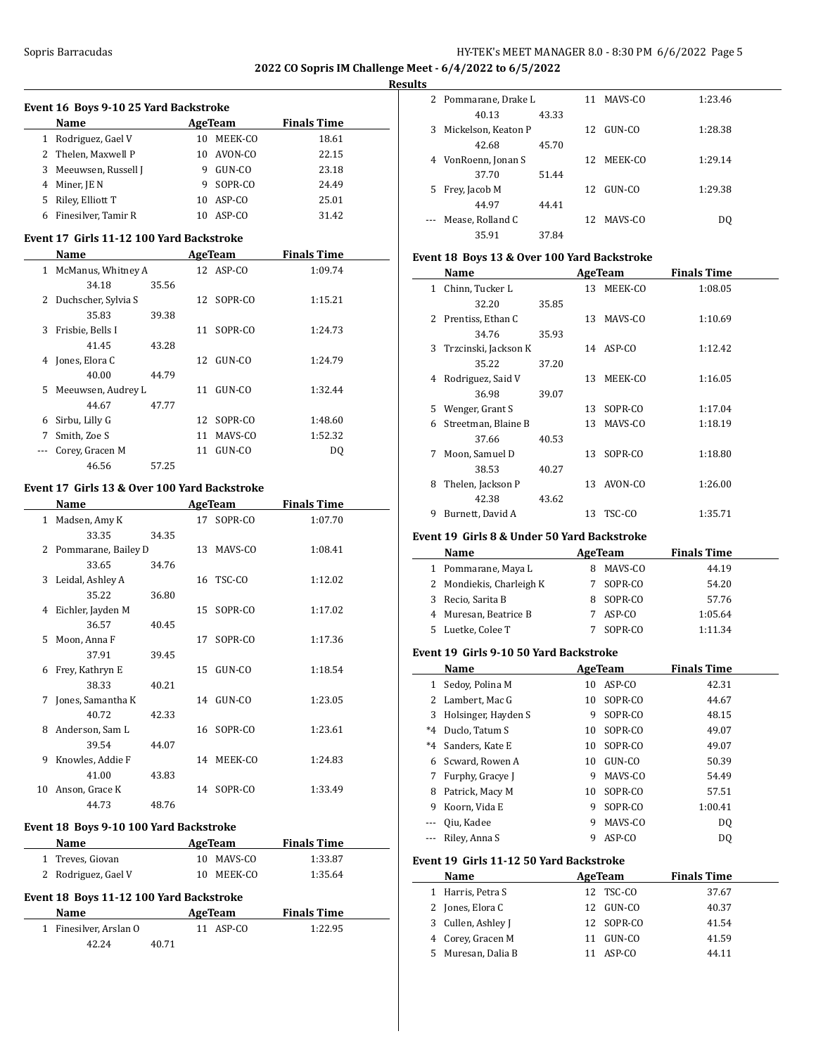$\overline{a}$ 

**2022 CO Sopris IM Challenge Meet - 6/4/2022 to 6/5/2022**

#### **Results**

| Event 16 Boys 9-10 25 Yard Backstroke |                     |    |              |                    |  |  |  |  |  |
|---------------------------------------|---------------------|----|--------------|--------------------|--|--|--|--|--|
|                                       | Name                |    | AgeTeam      | <b>Finals Time</b> |  |  |  |  |  |
| 1                                     | Rodriguez, Gael V   | 10 | MEEK-CO      | 18.61              |  |  |  |  |  |
|                                       | 2 Thelen, Maxwell P | 10 | AVON-CO      | 22.15              |  |  |  |  |  |
| 3.                                    | Meeuwsen, Russell J | 9  | GUN-CO       | 23.18              |  |  |  |  |  |
| 4                                     | Miner, JE N         | 9  | SOPR-CO      | 24.49              |  |  |  |  |  |
| 5.                                    | Riley, Elliott T    | 10 | $ASP$ - $CO$ | 25.01              |  |  |  |  |  |
| 6                                     | Finesilver, Tamir R | 10 | ASP-CO       | 31.42              |  |  |  |  |  |

#### **Event 17 Girls 11-12 100 Yard Backstroke**

|    | Name                |       |    | <b>AgeTeam</b> | <b>Finals Time</b> |  |
|----|---------------------|-------|----|----------------|--------------------|--|
| 1  | McManus, Whitney A  |       |    | 12 ASP-CO      | 1:09.74            |  |
|    | 34.18               | 35.56 |    |                |                    |  |
| 2  | Duchscher, Sylvia S |       |    | 12 SOPR-CO     | 1:15.21            |  |
|    | 35.83               | 39.38 |    |                |                    |  |
| 3  | Frisbie, Bells I    |       | 11 | SOPR-CO        | 1:24.73            |  |
|    | 41.45               | 43.28 |    |                |                    |  |
| 4  | Jones, Elora C      |       |    | 12 GUN-CO      | 1:24.79            |  |
|    | 40.00               | 44.79 |    |                |                    |  |
| 5. | Meeuwsen, Audrey L  |       | 11 | GUN-CO         | 1:32.44            |  |
|    | 44.67               | 47.77 |    |                |                    |  |
| 6  | Sirbu, Lilly G      |       |    | 12 SOPR-CO     | 1:48.60            |  |
| 7  | Smith, Zoe S        |       | 11 | MAVS-CO        | 1:52.32            |  |
|    | Corey, Gracen M     |       | 11 | GUN-CO         | DQ                 |  |
|    | 46.56               | 57.25 |    |                |                    |  |

# **Event 17 Girls 13 & Over 100 Yard Backstroke**

|              | Name                  |       | AgeTeam |            | <b>Finals Time</b> |
|--------------|-----------------------|-------|---------|------------|--------------------|
| $\mathbf{1}$ | Madsen, Amy K         |       | 17      | SOPR-CO    | 1:07.70            |
|              | 33.35                 | 34.35 |         |            |                    |
|              | 2 Pommarane, Bailey D |       |         | 13 MAVS-CO | 1:08.41            |
|              | 33.65                 | 34.76 |         |            |                    |
| 3            | Leidal, Ashley A      |       |         | 16 TSC-CO  | 1:12.02            |
|              | 35.22                 | 36.80 |         |            |                    |
| 4            | Eichler, Jayden M     |       | 15      | SOPR-CO    | 1:17.02            |
|              | 36.57                 | 40.45 |         |            |                    |
| 5.           | Moon, Anna F          |       | 17      | SOPR-CO    | 1:17.36            |
|              | 37.91                 | 39.45 |         |            |                    |
| 6            | Frey, Kathryn E       |       | 15      | GUN-CO     | 1:18.54            |
|              | 38.33                 | 40.21 |         |            |                    |
| 7            | Jones, Samantha K     |       | 14      | GUN-CO     | 1:23.05            |
|              | 40.72                 | 42.33 |         |            |                    |
| 8            | Anderson, Sam L       |       |         | 16 SOPR-CO | 1:23.61            |
|              | 39.54                 | 44.07 |         |            |                    |
| 9            | Knowles, Addie F      |       | 14      | MEEK-CO    | 1:24.83            |
|              | 41.00                 | 43.83 |         |            |                    |
| 10           | Anson, Grace K        |       | 14      | SOPR-CO    | 1:33.49            |
|              | 44.73                 | 48.76 |         |            |                    |

# **Event 18 Boys 9-10 100 Yard Backstroke**

| Name                | AgeTeam    | <b>Finals Time</b> |
|---------------------|------------|--------------------|
| 1 Treves, Giovan    | 10 MAVS-CO | 1:33.87            |
| 2 Rodriguez, Gael V | 10 MEEK-CO | 1:35.64            |

# **Event 18 Boys 11-12 100 Yard Backstroke**

| <b>Name</b>            | AgeTeam   | <b>Finals Time</b> |
|------------------------|-----------|--------------------|
| 1 Finesilver, Arslan O | 11 ASP-CO | 1:22.95            |
| 42.24                  | 40.71     |                    |

| ~ |                      |       |     |            |         |
|---|----------------------|-------|-----|------------|---------|
|   | 2 Pommarane, Drake L |       |     | 11 MAVS-CO | 1:23.46 |
|   | 40.13                | 43.33 |     |            |         |
| 3 | Mickelson, Keaton P  |       | 12  | GUN-CO     | 1:28.38 |
|   | 42.68                | 45.70 |     |            |         |
| 4 | VonRoenn, Jonan S    |       | 12  | MEEK-CO    | 1:29.14 |
|   | 37.70                | 51.44 |     |            |         |
| 5 | Frey, Jacob M        |       | 12. | GUN-CO     | 1:29.38 |
|   | 44.97                | 44.41 |     |            |         |
|   | Mease, Rolland C     |       |     | 12 MAVS-CO | DO      |
|   | 35.91                | 37.84 |     |            |         |

# **Event 18 Boys 13 & Over 100 Yard Backstroke**

|              | Name                 |       |    | AgeTeam    | <b>Finals Time</b> |  |
|--------------|----------------------|-------|----|------------|--------------------|--|
| $\mathbf{1}$ | Chinn, Tucker L      |       |    | 13 MEEK-CO | 1:08.05            |  |
|              | 32.20                | 35.85 |    |            |                    |  |
|              | 2 Prentiss, Ethan C  |       | 13 | MAVS-CO    | 1:10.69            |  |
|              | 34.76                | 35.93 |    |            |                    |  |
| 3            | Trzcinski, Jackson K |       |    | 14 ASP-CO  | 1:12.42            |  |
|              | 35.22                | 37.20 |    |            |                    |  |
| 4            | Rodriguez, Said V    |       | 13 | MEEK-CO    | 1:16.05            |  |
|              | 36.98                | 39.07 |    |            |                    |  |
| 5.           | Wenger, Grant S      |       |    | 13 SOPR-CO | 1:17.04            |  |
| 6            | Streetman, Blaine B  |       |    | 13 MAVS-CO | 1:18.19            |  |
|              | 37.66                | 40.53 |    |            |                    |  |
| 7            | Moon, Samuel D       |       | 13 | SOPR-CO    | 1:18.80            |  |
|              | 38.53                | 40.27 |    |            |                    |  |
| 8            | Thelen, Jackson P    |       |    | 13 AVON-CO | 1:26.00            |  |
|              | 42.38                | 43.62 |    |            |                    |  |
| 9            | Burnett, David A     |       | 13 | TSC-CO     | 1:35.71            |  |
|              |                      |       |    |            |                    |  |

# **Event 19 Girls 8 & Under 50 Yard Backstroke**

|    | <b>Name</b>              | AgeTeam   | <b>Finals Time</b> |
|----|--------------------------|-----------|--------------------|
|    | 1 Pommarane, Maya L      | MAVS-CO   | 44.19              |
|    | 2 Mondiekis, Charleigh K | SOPR-CO   | 54.20              |
|    | 3 Recio, Sarita B        | 8 SOPR-CO | 57.76              |
|    | 4 Muresan, Beatrice B    | ASP-CO    | 1:05.64            |
| 5. | Luetke, Colee T          | SOPR-CO   | 1:11.34            |

# **Event 19 Girls 9-10 50 Yard Backstroke**

|              | Name                                    |    | <b>AgeTeam</b> | <b>Finals Time</b> |
|--------------|-----------------------------------------|----|----------------|--------------------|
| 1            | Sedoy, Polina M                         | 10 | ASP-CO         | 42.31              |
| 2            | Lambert, Mac G                          | 10 | SOPR-CO        | 44.67              |
| 3            | Holsinger, Hayden S                     | 9  | SOPR-CO        | 48.15              |
| $*4$         | Duclo, Tatum S                          | 10 | SOPR-CO        | 49.07              |
| $*4$         | Sanders, Kate E                         | 10 | SOPR-CO        | 49.07              |
| 6            | Scward, Rowen A                         | 10 | GUN-CO         | 50.39              |
| 7            | Furphy, Gracye J                        | 9  | MAVS-CO        | 54.49              |
| 8            | Patrick, Macy M                         | 10 | SOPR-CO        | 57.51              |
| 9            | Koorn, Vida E                           | 9  | SOPR-CO        | 1:00.41            |
|              | Qiu, Kadee                              | 9  | MAVS-CO        | DQ                 |
|              | Riley, Anna S                           | 9  | ASP-CO         | DQ                 |
|              | Event 19 Girls 11-12 50 Yard Backstroke |    |                |                    |
|              | Name                                    |    | AgeTeam        | Finals Time        |
| $\mathbf{1}$ | Harris, Petra S                         | 12 | TSC-CO         | 37.67              |
| 2            | Jones, Elora C                          | 12 | GUN-CO         | 40.37              |
| 3            | Cullen, Ashley J                        | 12 | SOPR-CO        | 41.54              |
| 4            | Corey, Gracen M                         | 11 | GUN-CO         | 41.59              |
| 5            | Muresan, Dalia B                        | 11 | ASP-CO         | 44.11              |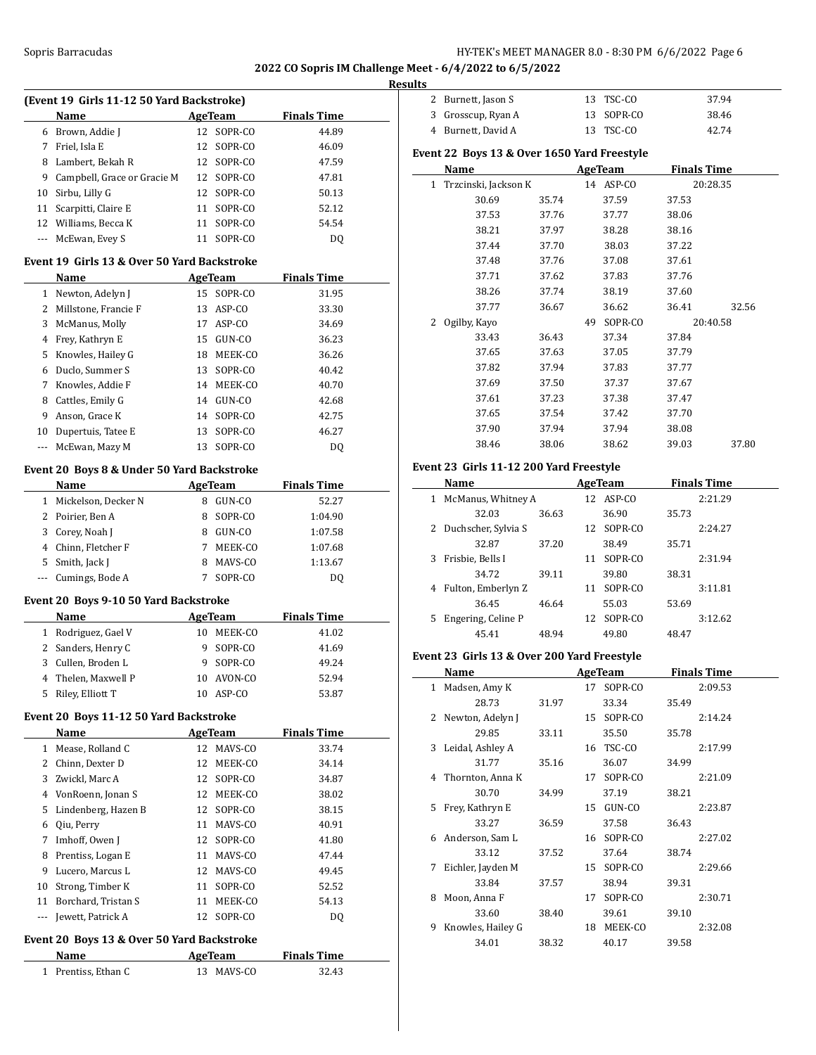### Sopris Barracudas **HY-TEK's MEET MANAGER 8.0 - 8:30 PM 6/6/2022** Page 6

# **2022 CO Sopris IM Challenge Meet - 6/4/2022 to 6/5/2022 Results**

 $\overline{a}$ 

| (Event 19 Girls 11-12 50 Yard Backstroke) |                             |    |            |                    |  |  |  |
|-------------------------------------------|-----------------------------|----|------------|--------------------|--|--|--|
|                                           | Name                        |    | AgeTeam    | <b>Finals Time</b> |  |  |  |
| 6                                         | Brown, Addie J              |    | 12 SOPR-CO | 44.89              |  |  |  |
| 7                                         | Friel, Isla E               |    | 12 SOPR-CO | 46.09              |  |  |  |
| 8                                         | Lambert, Bekah R            |    | 12 SOPR-CO | 47.59              |  |  |  |
| 9                                         | Campbell, Grace or Gracie M |    | 12 SOPR-CO | 47.81              |  |  |  |
| 10                                        | Sirbu, Lilly G              |    | 12 SOPR-CO | 50.13              |  |  |  |
| 11                                        | Scarpitti, Claire E         | 11 | SOPR-CO    | 52.12              |  |  |  |
|                                           | 12 Williams, Becca K        | 11 | SOPR-CO    | 54.54              |  |  |  |
|                                           | --- McEwan, Evey S          |    | SOPR-CO    | D0                 |  |  |  |

#### **Event 19 Girls 13 & Over 50 Yard Backstroke**

|    | Name                 |    | AgeTeam    | <b>Finals Time</b> |
|----|----------------------|----|------------|--------------------|
| 1  | Newton, Adelyn J     |    | 15 SOPR-CO | 31.95              |
|    | Millstone, Francie F | 13 | ASP-CO     | 33.30              |
| 3  | McManus, Molly       | 17 | ASP-CO     | 34.69              |
| 4  | Frey, Kathryn E      | 15 | GUN-CO     | 36.23              |
| 5. | Knowles, Hailey G    | 18 | MEEK-CO    | 36.26              |
| 6  | Duclo, Summer S      | 13 | SOPR-CO    | 40.42              |
| 7  | Knowles. Addie F     |    | 14 MEEK-CO | 40.70              |
| 8  | Cattles, Emily G     | 14 | GUN-CO     | 42.68              |
| 9  | Anson, Grace K       | 14 | SOPR-CO    | 42.75              |
| 10 | Dupertuis, Tatee E   | 13 | SOPR-CO    | 46.27              |
|    | McEwan, Mazy M       | 13 | SOPR-CO    | DO.                |

#### **Event 20 Boys 8 & Under 50 Yard Backstroke**

 $\overline{a}$ 

 $\overline{a}$ 

|    | Name                | AgeTeam | <b>Finals Time</b> |
|----|---------------------|---------|--------------------|
|    | Mickelson, Decker N | GUN-CO  | 52.27              |
|    | 2 Poirier, Ben A    | SOPR-CO | 1:04.90            |
| 3. | Corey, Noah J       | GUN-CO  | 1:07.58            |
| 4  | Chinn, Fletcher F   | MEEK-CO | 1:07.68            |
| 5. | Smith, Jack J       | MAVS-CO | 1:13.67            |
|    | --- Cumings, Bode A | SOPR-CO | DΟ                 |

#### **Event 20 Boys 9-10 50 Yard Backstroke**

|    | Name                |    | AgeTeam | <b>Finals Time</b> |
|----|---------------------|----|---------|--------------------|
| 1  | Rodriguez, Gael V   | 10 | MEEK-CO | 41.02              |
|    | 2 Sanders, Henry C  | 9  | SOPR-CO | 41.69              |
|    | 3 Cullen, Broden L  |    | SOPR-CO | 49.24              |
|    | 4 Thelen, Maxwell P | 10 | AVON-CO | 52.94              |
| 5. | Riley, Elliott T    |    | ASP-CO  | 53.87              |

#### **Event 20 Boys 11-12 50 Yard Backstroke**

|              | Name                  |    | AgeTeam    | <b>Finals Time</b> |
|--------------|-----------------------|----|------------|--------------------|
| $\mathbf{1}$ | Mease, Rolland C      |    | 12 MAVS-CO | 33.74              |
|              | Chinn, Dexter D       | 12 | MEEK-CO    | 34.14              |
|              | 3 Zwickl, Marc A      |    | 12 SOPR-CO | 34.87              |
| 4            | VonRoenn, Jonan S     | 12 | MEEK-CO    | 38.02              |
|              | 5 Lindenberg, Hazen B |    | 12 SOPR-CO | 38.15              |
| 6            | Qiu, Perry            | 11 | MAVS-CO    | 40.91              |
| 7            | Imhoff, Owen J        | 12 | SOPR-CO    | 41.80              |
| 8            | Prentiss, Logan E     | 11 | MAVS-CO    | 47.44              |
| 9            | Lucero, Marcus L      |    | 12 MAVS-CO | 49.45              |
| 10           | Strong, Timber K      | 11 | SOPR-CO    | 52.52              |
| 11           | Borchard, Tristan S   | 11 | MEEK-CO    | 54.13              |
|              | Jewett, Patrick A     | 12 | SOPR-CO    | DQ                 |

# **Event 20 Boys 13 & Over 50 Yard Backstroke**

| Name                | AgeTeam    | <b>Finals Time</b> |  |
|---------------------|------------|--------------------|--|
| 1 Prentiss, Ethan C | 13 MAVS-CO | 32.43              |  |

| 2                                           | Burnett, Jason S       |       | 13 | TSC-CO    |                    | 37.94    |  |  |  |  |  |
|---------------------------------------------|------------------------|-------|----|-----------|--------------------|----------|--|--|--|--|--|
| 3                                           | Grosscup, Ryan A       |       | 13 | SOPR-CO   |                    | 38.46    |  |  |  |  |  |
|                                             | 4 Burnett, David A     |       |    | 13 TSC-CO |                    | 42.74    |  |  |  |  |  |
| Event 22 Boys 13 & Over 1650 Yard Freestyle |                        |       |    |           |                    |          |  |  |  |  |  |
|                                             | Name                   |       |    | AgeTeam   | <b>Finals Time</b> |          |  |  |  |  |  |
|                                             | 1 Trzcinski, Jackson K |       |    | 14 ASP-CO |                    | 20:28.35 |  |  |  |  |  |
|                                             | 30.69                  | 35.74 |    | 37.59     | 37.53              |          |  |  |  |  |  |
|                                             | 37.53                  | 37.76 |    | 37.77     | 38.06              |          |  |  |  |  |  |
|                                             | 38.21                  | 37.97 |    | 38.28     | 38.16              |          |  |  |  |  |  |
|                                             | 37.44                  | 37.70 |    | 38.03     | 37.22              |          |  |  |  |  |  |
|                                             | 37.48                  | 37.76 |    | 37.08     | 37.61              |          |  |  |  |  |  |
|                                             | 37.71                  | 37.62 |    | 37.83     | 37.76              |          |  |  |  |  |  |
|                                             | 38.26                  | 37.74 |    | 38.19     | 37.60              |          |  |  |  |  |  |
|                                             | 37.77                  | 36.67 |    | 36.62     | 36.41              | 32.56    |  |  |  |  |  |
| 2                                           | Ogilby, Kayo           |       | 49 | SOPR-CO   |                    | 20:40.58 |  |  |  |  |  |
|                                             | 33.43                  | 36.43 |    | 37.34     | 37.84              |          |  |  |  |  |  |
|                                             | 37.65                  | 37.63 |    | 37.05     | 37.79              |          |  |  |  |  |  |
|                                             | 37.82                  | 37.94 |    | 37.83     | 37.77              |          |  |  |  |  |  |
|                                             | 37.69                  | 37.50 |    | 37.37     | 37.67              |          |  |  |  |  |  |
|                                             | 37.61                  | 37.23 |    | 37.38     | 37.47              |          |  |  |  |  |  |
|                                             | 37.65                  | 37.54 |    | 37.42     | 37.70              |          |  |  |  |  |  |
|                                             | 37.90                  | 37.94 |    | 37.94     | 38.08              |          |  |  |  |  |  |
|                                             | 38.46                  | 38.06 |    | 38.62     | 39.03              | 37.80    |  |  |  |  |  |

# **Event 23 Girls 11-12 200 Yard Freestyle**

|   | Name                |       |    | AgeTeam   |       | <b>Finals Time</b> |
|---|---------------------|-------|----|-----------|-------|--------------------|
|   | McManus, Whitney A  |       |    | 12 ASP-CO |       | 2:21.29            |
|   | 32.03               | 36.63 |    | 36.90     | 35.73 |                    |
| 2 | Duchscher, Sylvia S |       | 12 | SOPR-CO   |       | 2:24.27            |
|   | 32.87               | 37.20 |    | 38.49     | 35.71 |                    |
|   | Frisbie, Bells I    |       | 11 | SOPR-CO   |       | 2:31.94            |
|   | 34.72               | 39.11 |    | 39.80     | 38.31 |                    |
| 4 | Fulton, Emberlyn Z  |       | 11 | SOPR-CO   |       | 3:11.81            |
|   | 36.45               | 46.64 |    | 55.03     | 53.69 |                    |
|   | Engering, Celine P  |       | 12 | SOPR-CO   |       | 3:12.62            |
|   | 45.41               | 48.94 |    | 49.80     | 48.47 |                    |

# **Event 23 Girls 13 & Over 200 Yard Freestyle**

|    | Name              |       |    | AgeTeam    |       | <b>Finals Time</b> |
|----|-------------------|-------|----|------------|-------|--------------------|
| 1  | Madsen, Amy K     |       | 17 | SOPR-CO    |       | 2:09.53            |
|    | 28.73             | 31.97 |    | 33.34      | 35.49 |                    |
| 2. | Newton, Adelyn J  |       |    | 15 SOPR-CO |       | 2:14.24            |
|    | 29.85             | 33.11 |    | 35.50      | 35.78 |                    |
| 3  | Leidal, Ashley A  |       | 16 | TSC-CO     |       | 2:17.99            |
|    | 31.77             | 35.16 |    | 36.07      | 34.99 |                    |
| 4  | Thornton, Anna K  |       | 17 | SOPR-CO    |       | 2:21.09            |
|    | 30.70             | 34.99 |    | 37.19      | 38.21 |                    |
| 5. | Frey, Kathryn E   |       | 15 | GUN-CO     |       | 2:23.87            |
|    | 33.27             | 36.59 |    | 37.58      | 36.43 |                    |
| 6  | Anderson, Sam L   |       | 16 | SOPR-CO    |       | 2:27.02            |
|    | 33.12             | 37.52 |    | 37.64      | 38.74 |                    |
| 7  | Eichler, Jayden M |       | 15 | SOPR-CO    |       | 2:29.66            |
|    | 33.84             | 37.57 |    | 38.94      | 39.31 |                    |
| 8  | Moon, Anna F      |       | 17 | SOPR-CO    |       | 2:30.71            |
|    | 33.60             | 38.40 |    | 39.61      | 39.10 |                    |
| 9  | Knowles, Hailey G |       | 18 | MEEK-CO    |       | 2:32.08            |
|    | 34.01             | 38.32 |    | 40.17      | 39.58 |                    |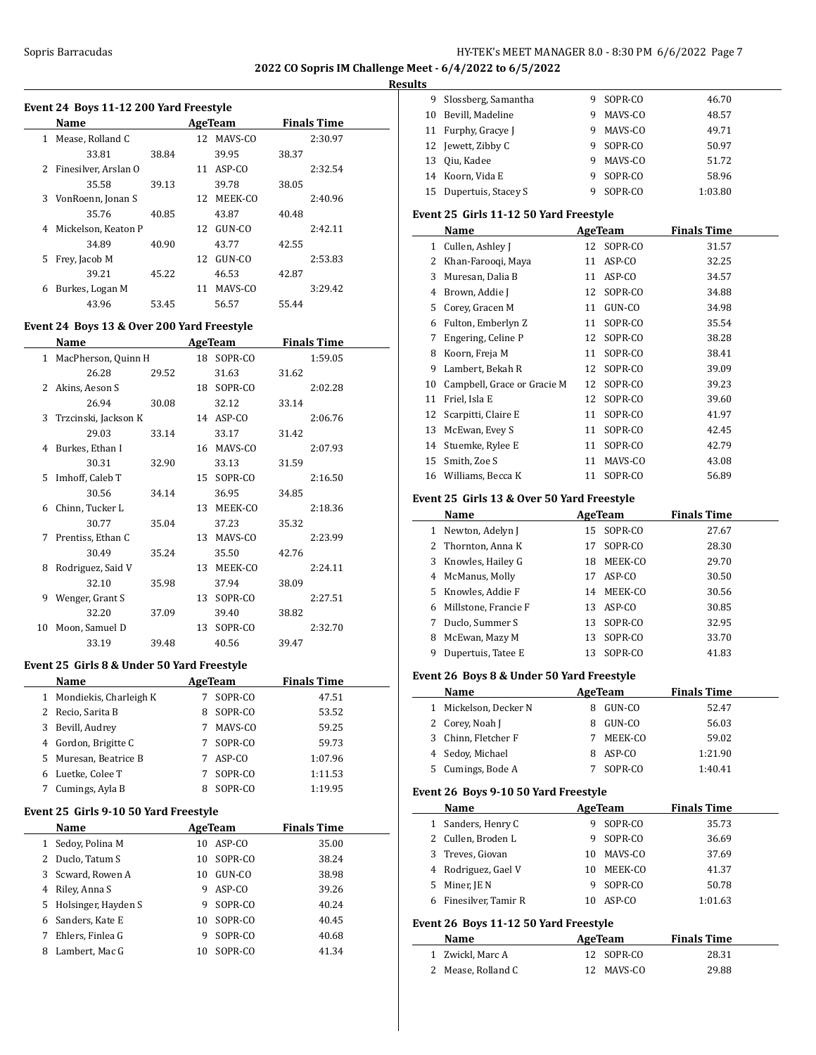# **Results**

| 1 Mease, Rolland C<br>12 MAVS-CO<br>33.81<br>39.95<br>38.84<br>38.37<br>2<br>Finesilver, Arslan O<br>11 ASP-CO<br>35.58<br>39.78<br>39.13<br>38.05<br>3<br>VonRoenn, Jonan S<br>12 MEEK-CO<br>35.76<br>40.85<br>43.87<br>40.48<br>Mickelson, Keaton P<br>12 GUN-CO<br>4<br>43.77<br>42.55<br>34.89<br>40.90<br>Frey, Jacob M<br>5<br>12 GUN-CO<br>39.21<br>46.53<br>45.22<br>42.87<br>Burkes, Logan M<br>11 MAVS-CO<br>6<br>43.96<br>53.45<br>56.57<br>55.44<br><b>AgeTeam</b><br><b>Finals Time</b><br>Name<br>1 MacPherson, Quinn H<br>18 SOPR-CO<br>1:59.05<br>26.28<br>29.52<br>31.63<br>31.62<br>Akins, Aeson S<br>2<br>18 SOPR-CO<br>2:02.28<br>26.94<br>30.08<br>32.12<br>33.14<br>Trzcinski, Jackson K<br>14 ASP-CO<br>3<br>2:06.76<br>29.03<br>33.14<br>33.17<br>31.42<br>Burkes, Ethan I<br>16 MAVS-CO<br>4<br>2:07.93<br>30.31<br>32.90<br>33.13<br>31.59<br>Imhoff, Caleb T<br>5<br>15 SOPR-CO<br>2:16.50<br>30.56<br>36.95<br>34.14<br>34.85<br>6 Chinn, Tucker L<br>13 MEEK-CO<br>2:18.36<br>30.77<br>37.23<br>35.04<br>35.32<br>Prentiss, Ethan C<br>13 MAVS-CO<br>2:23.99<br>7<br>30.49<br>35.24<br>35.50<br>42.76<br>Rodriguez, Said V<br>8<br>13 MEEK-CO<br>2:24.11<br>32.10<br>35.98<br>37.94<br>38.09<br>9<br>Wenger, Grant S<br>13 SOPR-CO<br>2:27.51<br>32.20<br>37.09<br>39.40<br>38.82<br>10<br>Moon, Samuel D<br>13 SOPR-CO<br>33.19<br>40.56<br>39.48<br>39.47<br>Event 25 Girls 8 & Under 50 Yard Freestyle<br><b>AgeTeam</b><br>Name<br>1 Mondiekis, Charleigh K<br>7 SOPR-CO | Name |  | <b>AgeTeam</b> | <b>Finals Time</b> |
|-----------------------------------------------------------------------------------------------------------------------------------------------------------------------------------------------------------------------------------------------------------------------------------------------------------------------------------------------------------------------------------------------------------------------------------------------------------------------------------------------------------------------------------------------------------------------------------------------------------------------------------------------------------------------------------------------------------------------------------------------------------------------------------------------------------------------------------------------------------------------------------------------------------------------------------------------------------------------------------------------------------------------------------------------------------------------------------------------------------------------------------------------------------------------------------------------------------------------------------------------------------------------------------------------------------------------------------------------------------------------------------------------------------------------------------------------------------------------------------------------------------|------|--|----------------|--------------------|
| Event 24 Boys 13 & Over 200 Yard Freestyle                                                                                                                                                                                                                                                                                                                                                                                                                                                                                                                                                                                                                                                                                                                                                                                                                                                                                                                                                                                                                                                                                                                                                                                                                                                                                                                                                                                                                                                                |      |  |                | 2:30.97            |
|                                                                                                                                                                                                                                                                                                                                                                                                                                                                                                                                                                                                                                                                                                                                                                                                                                                                                                                                                                                                                                                                                                                                                                                                                                                                                                                                                                                                                                                                                                           |      |  |                |                    |
|                                                                                                                                                                                                                                                                                                                                                                                                                                                                                                                                                                                                                                                                                                                                                                                                                                                                                                                                                                                                                                                                                                                                                                                                                                                                                                                                                                                                                                                                                                           |      |  |                | 2:32.54            |
|                                                                                                                                                                                                                                                                                                                                                                                                                                                                                                                                                                                                                                                                                                                                                                                                                                                                                                                                                                                                                                                                                                                                                                                                                                                                                                                                                                                                                                                                                                           |      |  |                |                    |
|                                                                                                                                                                                                                                                                                                                                                                                                                                                                                                                                                                                                                                                                                                                                                                                                                                                                                                                                                                                                                                                                                                                                                                                                                                                                                                                                                                                                                                                                                                           |      |  |                | 2:40.96            |
|                                                                                                                                                                                                                                                                                                                                                                                                                                                                                                                                                                                                                                                                                                                                                                                                                                                                                                                                                                                                                                                                                                                                                                                                                                                                                                                                                                                                                                                                                                           |      |  |                |                    |
|                                                                                                                                                                                                                                                                                                                                                                                                                                                                                                                                                                                                                                                                                                                                                                                                                                                                                                                                                                                                                                                                                                                                                                                                                                                                                                                                                                                                                                                                                                           |      |  |                | 2:42.11            |
|                                                                                                                                                                                                                                                                                                                                                                                                                                                                                                                                                                                                                                                                                                                                                                                                                                                                                                                                                                                                                                                                                                                                                                                                                                                                                                                                                                                                                                                                                                           |      |  |                |                    |
|                                                                                                                                                                                                                                                                                                                                                                                                                                                                                                                                                                                                                                                                                                                                                                                                                                                                                                                                                                                                                                                                                                                                                                                                                                                                                                                                                                                                                                                                                                           |      |  |                | 2:53.83            |
|                                                                                                                                                                                                                                                                                                                                                                                                                                                                                                                                                                                                                                                                                                                                                                                                                                                                                                                                                                                                                                                                                                                                                                                                                                                                                                                                                                                                                                                                                                           |      |  |                |                    |
|                                                                                                                                                                                                                                                                                                                                                                                                                                                                                                                                                                                                                                                                                                                                                                                                                                                                                                                                                                                                                                                                                                                                                                                                                                                                                                                                                                                                                                                                                                           |      |  |                | 3:29.42            |
|                                                                                                                                                                                                                                                                                                                                                                                                                                                                                                                                                                                                                                                                                                                                                                                                                                                                                                                                                                                                                                                                                                                                                                                                                                                                                                                                                                                                                                                                                                           |      |  |                |                    |
|                                                                                                                                                                                                                                                                                                                                                                                                                                                                                                                                                                                                                                                                                                                                                                                                                                                                                                                                                                                                                                                                                                                                                                                                                                                                                                                                                                                                                                                                                                           |      |  |                |                    |
|                                                                                                                                                                                                                                                                                                                                                                                                                                                                                                                                                                                                                                                                                                                                                                                                                                                                                                                                                                                                                                                                                                                                                                                                                                                                                                                                                                                                                                                                                                           |      |  |                |                    |
|                                                                                                                                                                                                                                                                                                                                                                                                                                                                                                                                                                                                                                                                                                                                                                                                                                                                                                                                                                                                                                                                                                                                                                                                                                                                                                                                                                                                                                                                                                           |      |  |                |                    |
|                                                                                                                                                                                                                                                                                                                                                                                                                                                                                                                                                                                                                                                                                                                                                                                                                                                                                                                                                                                                                                                                                                                                                                                                                                                                                                                                                                                                                                                                                                           |      |  |                |                    |
|                                                                                                                                                                                                                                                                                                                                                                                                                                                                                                                                                                                                                                                                                                                                                                                                                                                                                                                                                                                                                                                                                                                                                                                                                                                                                                                                                                                                                                                                                                           |      |  |                |                    |
|                                                                                                                                                                                                                                                                                                                                                                                                                                                                                                                                                                                                                                                                                                                                                                                                                                                                                                                                                                                                                                                                                                                                                                                                                                                                                                                                                                                                                                                                                                           |      |  |                |                    |
|                                                                                                                                                                                                                                                                                                                                                                                                                                                                                                                                                                                                                                                                                                                                                                                                                                                                                                                                                                                                                                                                                                                                                                                                                                                                                                                                                                                                                                                                                                           |      |  |                |                    |
|                                                                                                                                                                                                                                                                                                                                                                                                                                                                                                                                                                                                                                                                                                                                                                                                                                                                                                                                                                                                                                                                                                                                                                                                                                                                                                                                                                                                                                                                                                           |      |  |                |                    |
|                                                                                                                                                                                                                                                                                                                                                                                                                                                                                                                                                                                                                                                                                                                                                                                                                                                                                                                                                                                                                                                                                                                                                                                                                                                                                                                                                                                                                                                                                                           |      |  |                |                    |
|                                                                                                                                                                                                                                                                                                                                                                                                                                                                                                                                                                                                                                                                                                                                                                                                                                                                                                                                                                                                                                                                                                                                                                                                                                                                                                                                                                                                                                                                                                           |      |  |                |                    |
|                                                                                                                                                                                                                                                                                                                                                                                                                                                                                                                                                                                                                                                                                                                                                                                                                                                                                                                                                                                                                                                                                                                                                                                                                                                                                                                                                                                                                                                                                                           |      |  |                |                    |
|                                                                                                                                                                                                                                                                                                                                                                                                                                                                                                                                                                                                                                                                                                                                                                                                                                                                                                                                                                                                                                                                                                                                                                                                                                                                                                                                                                                                                                                                                                           |      |  |                |                    |
|                                                                                                                                                                                                                                                                                                                                                                                                                                                                                                                                                                                                                                                                                                                                                                                                                                                                                                                                                                                                                                                                                                                                                                                                                                                                                                                                                                                                                                                                                                           |      |  |                |                    |
|                                                                                                                                                                                                                                                                                                                                                                                                                                                                                                                                                                                                                                                                                                                                                                                                                                                                                                                                                                                                                                                                                                                                                                                                                                                                                                                                                                                                                                                                                                           |      |  |                |                    |
|                                                                                                                                                                                                                                                                                                                                                                                                                                                                                                                                                                                                                                                                                                                                                                                                                                                                                                                                                                                                                                                                                                                                                                                                                                                                                                                                                                                                                                                                                                           |      |  |                |                    |
|                                                                                                                                                                                                                                                                                                                                                                                                                                                                                                                                                                                                                                                                                                                                                                                                                                                                                                                                                                                                                                                                                                                                                                                                                                                                                                                                                                                                                                                                                                           |      |  |                |                    |
|                                                                                                                                                                                                                                                                                                                                                                                                                                                                                                                                                                                                                                                                                                                                                                                                                                                                                                                                                                                                                                                                                                                                                                                                                                                                                                                                                                                                                                                                                                           |      |  |                |                    |
|                                                                                                                                                                                                                                                                                                                                                                                                                                                                                                                                                                                                                                                                                                                                                                                                                                                                                                                                                                                                                                                                                                                                                                                                                                                                                                                                                                                                                                                                                                           |      |  |                |                    |
|                                                                                                                                                                                                                                                                                                                                                                                                                                                                                                                                                                                                                                                                                                                                                                                                                                                                                                                                                                                                                                                                                                                                                                                                                                                                                                                                                                                                                                                                                                           |      |  |                |                    |
|                                                                                                                                                                                                                                                                                                                                                                                                                                                                                                                                                                                                                                                                                                                                                                                                                                                                                                                                                                                                                                                                                                                                                                                                                                                                                                                                                                                                                                                                                                           |      |  |                |                    |
|                                                                                                                                                                                                                                                                                                                                                                                                                                                                                                                                                                                                                                                                                                                                                                                                                                                                                                                                                                                                                                                                                                                                                                                                                                                                                                                                                                                                                                                                                                           |      |  |                | 2:32.70            |
|                                                                                                                                                                                                                                                                                                                                                                                                                                                                                                                                                                                                                                                                                                                                                                                                                                                                                                                                                                                                                                                                                                                                                                                                                                                                                                                                                                                                                                                                                                           |      |  |                |                    |
|                                                                                                                                                                                                                                                                                                                                                                                                                                                                                                                                                                                                                                                                                                                                                                                                                                                                                                                                                                                                                                                                                                                                                                                                                                                                                                                                                                                                                                                                                                           |      |  |                |                    |
|                                                                                                                                                                                                                                                                                                                                                                                                                                                                                                                                                                                                                                                                                                                                                                                                                                                                                                                                                                                                                                                                                                                                                                                                                                                                                                                                                                                                                                                                                                           |      |  |                |                    |
|                                                                                                                                                                                                                                                                                                                                                                                                                                                                                                                                                                                                                                                                                                                                                                                                                                                                                                                                                                                                                                                                                                                                                                                                                                                                                                                                                                                                                                                                                                           |      |  |                | <b>Finals Time</b> |
|                                                                                                                                                                                                                                                                                                                                                                                                                                                                                                                                                                                                                                                                                                                                                                                                                                                                                                                                                                                                                                                                                                                                                                                                                                                                                                                                                                                                                                                                                                           |      |  |                | 47.51              |

| 2                                     | Recio, Sarita B     | 8  | SOPR-CO | 53.52              |  |  |  |  |  |  |  |
|---------------------------------------|---------------------|----|---------|--------------------|--|--|--|--|--|--|--|
| 3                                     | Bevill, Audrey      | 7  | MAVS-CO | 59.25              |  |  |  |  |  |  |  |
| 4                                     | Gordon, Brigitte C  | 7  | SOPR-CO | 59.73              |  |  |  |  |  |  |  |
| 5                                     | Muresan, Beatrice B | 7  | ASP-CO  | 1:07.96            |  |  |  |  |  |  |  |
| 6                                     | Luetke, Colee T     | 7  | SOPR-CO | 1:11.53            |  |  |  |  |  |  |  |
| 7                                     | Cumings, Ayla B     | 8  | SOPR-CO | 1:19.95            |  |  |  |  |  |  |  |
| Event 25 Girls 9-10 50 Yard Freestyle |                     |    |         |                    |  |  |  |  |  |  |  |
|                                       | Name                |    | AgeTeam | <b>Finals Time</b> |  |  |  |  |  |  |  |
|                                       | Sedov, Polina M     | 10 | ASP-CO  | 35.00              |  |  |  |  |  |  |  |
|                                       |                     |    |         |                    |  |  |  |  |  |  |  |
| 2                                     | Duclo, Tatum S      | 10 | SOPR-CO | 38.24              |  |  |  |  |  |  |  |
| 3                                     | Scward, Rowen A     | 10 | GUN-CO  | 38.98              |  |  |  |  |  |  |  |

| 4 Riley, Anna S       | 9 ASP-CO   | 39.26 |
|-----------------------|------------|-------|
| 5 Holsinger, Hayden S | 9 SOPR-CO  | 40.24 |
| 6 Sanders, Kate E     | 10 SOPR-CO | 40.45 |
| 7 Ehlers, Finlea G    | 9 SOPR-CO  | 40.68 |
| 8 Lambert, Mac G      | 10 SOPR-CO | 41.34 |

| ື  |                        |   |         |         |  |
|----|------------------------|---|---------|---------|--|
|    | 9 Slossberg, Samantha  | 9 | SOPR-CO | 46.70   |  |
| 10 | Bevill, Madeline       | 9 | MAVS-CO | 48.57   |  |
|    | 11 Furphy, Gracye J    | 9 | MAVS-CO | 49.71   |  |
|    | 12 Jewett, Zibby C     | 9 | SOPR-CO | 50.97   |  |
|    | 13 Oiu, Kadee          | 9 | MAVS-CO | 51.72   |  |
|    | 14 Koorn, Vida E       | 9 | SOPR-CO | 58.96   |  |
|    | 15 Dupertuis, Stacey S |   | SOPR-CO | 1:03.80 |  |

#### **Event 25 Girls 11-12 50 Yard Freestyle**

|    | Name                        |    | AgeTeam | <b>Finals Time</b> |
|----|-----------------------------|----|---------|--------------------|
| 1  | Cullen, Ashley J            | 12 | SOPR-CO | 31.57              |
| 2  | Khan-Faroogi, Maya          | 11 | ASP-CO  | 32.25              |
| 3  | Muresan, Dalia B            | 11 | ASP-CO  | 34.57              |
| 4  | Brown, Addie J              | 12 | SOPR-CO | 34.88              |
| 5  | Corey, Gracen M             | 11 | GUN-CO  | 34.98              |
| 6  | Fulton, Emberlyn Z          | 11 | SOPR-CO | 35.54              |
| 7  | Engering, Celine P          | 12 | SOPR-CO | 38.28              |
| 8  | Koorn, Freja M              | 11 | SOPR-CO | 38.41              |
| 9  | Lambert, Bekah R            | 12 | SOPR-CO | 39.09              |
| 10 | Campbell, Grace or Gracie M | 12 | SOPR-CO | 39.23              |
| 11 | Friel, Isla E               | 12 | SOPR-CO | 39.60              |
| 12 | Scarpitti, Claire E         | 11 | SOPR-CO | 41.97              |
| 13 | McEwan, Evey S              | 11 | SOPR-CO | 42.45              |
| 14 | Stuemke, Rylee E            | 11 | SOPR-CO | 42.79              |
| 15 | Smith, Zoe S                | 11 | MAVS-CO | 43.08              |
| 16 | Williams, Becca K           | 11 | SOPR-CO | 56.89              |

# **Event 25 Girls 13 & Over 50 Yard Freestyle**

|    | Name                 |    | AgeTeam   | <b>Finals Time</b> |
|----|----------------------|----|-----------|--------------------|
| 1  | Newton, Adelyn J     | 15 | SOPR-CO   | 27.67              |
|    | 2 Thornton, Anna K   | 17 | SOPR-CO   | 28.30              |
| 3  | Knowles, Hailey G    | 18 | MEEK-CO   | 29.70              |
|    | 4 McManus, Molly     | 17 | ASP-CO    | 30.50              |
| 5. | Knowles, Addie F     | 14 | MEEK-CO   | 30.56              |
| 6  | Millstone, Francie F |    | 13 ASP-CO | 30.85              |
| 7  | Duclo, Summer S      | 13 | SOPR-CO   | 32.95              |
| 8  | McEwan, Mazy M       | 13 | SOPR-CO   | 33.70              |
| 9  | Dupertuis, Tatee E   | 13 | SOPR-CO   | 41.83              |

#### **Event 26 Boys 8 & Under 50 Yard Freestyle**

|   | Name                | AgeTeam |         | <b>Finals Time</b> |  |
|---|---------------------|---------|---------|--------------------|--|
| 1 | Mickelson, Decker N |         | GUN-CO  | 52.47              |  |
|   | 2 Corey, Noah J     |         | GUN-CO  | 56.03              |  |
|   | 3 Chinn, Fletcher F |         | MEEK-CO | 59.02              |  |
|   | 4 Sedoy, Michael    |         | ASP-CO  | 1:21.90            |  |
|   | 5 Cumings, Bode A   |         | SOPR-CO | 1:40.41            |  |
|   |                     |         |         |                    |  |

#### **Event 26 Boys 9-10 50 Yard Freestyle**

| Name                     |    | AgeTeam | <b>Finals Time</b> |  |
|--------------------------|----|---------|--------------------|--|
| 1 Sanders, Henry C       | 9  | SOPR-CO | 35.73              |  |
| 2 Cullen, Broden L       | 9  | SOPR-CO | 36.69              |  |
| 3 Treves, Giovan         | 10 | MAVS-CO | 37.69              |  |
| 4 Rodriguez, Gael V      | 10 | MEEK-CO | 41.37              |  |
| Miner, JE N<br>5         | 9  | SOPR-CO | 50.78              |  |
| Finesilver, Tamir R<br>6 | 10 | ASP-CO  | 1:01.63            |  |
|                          |    |         |                    |  |

# **Event 26 Boys 11-12 50 Yard Freestyle**

| <b>Name</b>        | AgeTeam    | <b>Finals Time</b> |  |
|--------------------|------------|--------------------|--|
| 1 Zwickl, Marc A   | 12 SOPR-CO | 28.31              |  |
| 2 Mease, Rolland C | 12 MAVS-CO | 29.88              |  |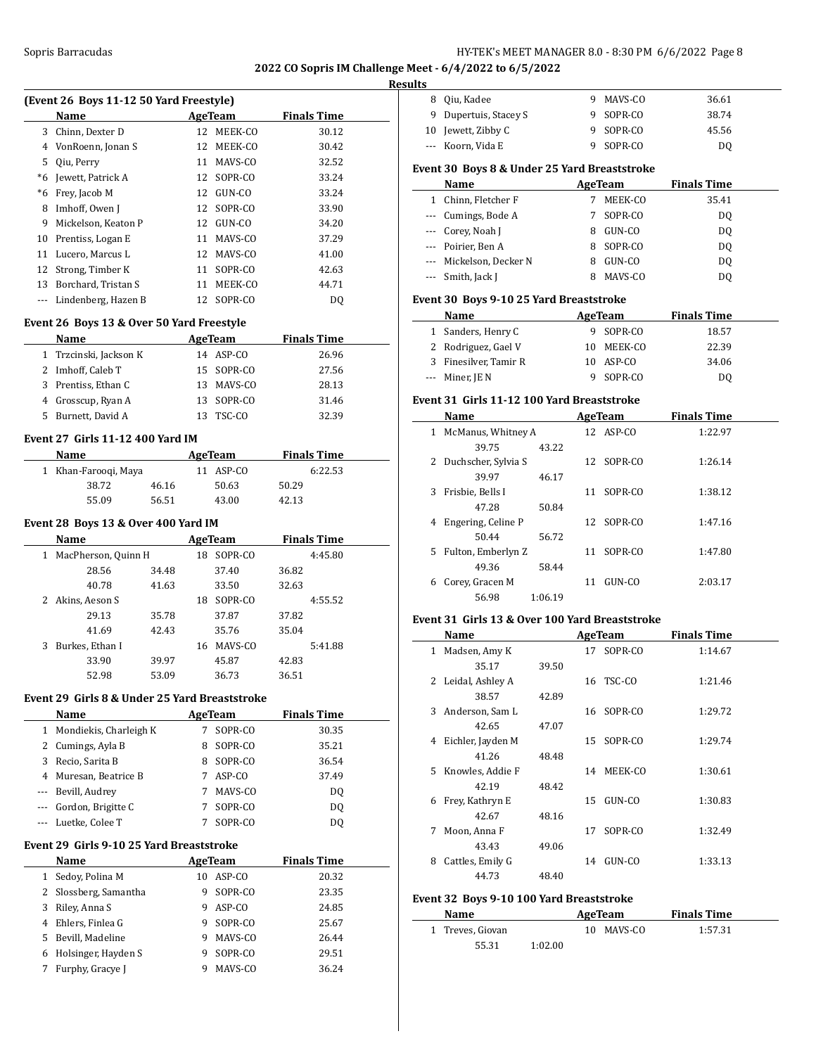# **Res**

| (Event 26 Boys 11-12 50 Yard Freestyle) |                     |    |            |                    |  |  |
|-----------------------------------------|---------------------|----|------------|--------------------|--|--|
|                                         | Name                |    | AgeTeam    | <b>Finals Time</b> |  |  |
| 3                                       | Chinn, Dexter D     | 12 | MEEK-CO    | 30.12              |  |  |
| 4                                       | VonRoenn, Jonan S   | 12 | MEEK-CO    | 30.42              |  |  |
| 5.                                      | Oiu, Perry          | 11 | MAVS-CO    | 32.52              |  |  |
| *6                                      | Jewett, Patrick A   | 12 | SOPR-CO    | 33.24              |  |  |
| *6                                      | Frey, Jacob M       | 12 | GUN-CO     | 33.24              |  |  |
| 8                                       | Imhoff, Owen J      | 12 | SOPR-CO    | 33.90              |  |  |
| 9                                       | Mickelson. Keaton P | 12 | GUN-CO     | 34.20              |  |  |
| 10                                      | Prentiss, Logan E   | 11 | MAVS-CO    | 37.29              |  |  |
| 11                                      | Lucero, Marcus L    | 12 | MAVS-CO    | 41.00              |  |  |
|                                         | 12 Strong, Timber K | 11 | SOPR-CO    | 42.63              |  |  |
| 13                                      | Borchard, Tristan S | 11 | MEEK-CO    | 44.71              |  |  |
|                                         | Lindenberg, Hazen B |    | 12 SOPR-CO | DO.                |  |  |

# **Event 26 Boys 13 & Over 50 Yard Freestyle**

| <b>Name</b>            |     | AgeTeam    | <b>Finals Time</b> |  |
|------------------------|-----|------------|--------------------|--|
| 1 Trzcinski, Jackson K |     | 14 ASP-CO  | 26.96              |  |
| 2 Imhoff, Caleb T      |     | 15 SOPR-CO | 27.56              |  |
| 3 Prentiss, Ethan C    | 13. | MAVS-CO    | 28.13              |  |
| 4 Grosscup, Ryan A     |     | 13 SOPR-CO | 31.46              |  |
| 5 Burnett, David A     |     | 13 TSC-CO  | 32.39              |  |

#### **Event 27 Girls 11-12 400 Yard IM**

| Name                 |       |           | <b>Finals Time</b> |  |
|----------------------|-------|-----------|--------------------|--|
| 1 Khan-Faroogi, Maya |       | 11 ASP-CO | 6:22.53            |  |
| 38.72                | 46.16 | 50.63     | 50.29              |  |
| 55.09                | 56.51 | 43.00     | 42.13              |  |

# **Event 28 Boys 13 & Over 400 Yard IM**

|    | Name                | AgeTeam |    |         |       | <b>Finals Time</b> |
|----|---------------------|---------|----|---------|-------|--------------------|
| 1  | MacPherson, Quinn H |         | 18 | SOPR-CO |       | 4:45.80            |
|    | 28.56               | 34.48   |    | 37.40   | 36.82 |                    |
|    | 40.78               | 41.63   |    | 33.50   | 32.63 |                    |
|    | Akins, Aeson S      |         | 18 | SOPR-CO |       | 4:55.52            |
|    | 29.13               | 35.78   |    | 37.87   | 37.82 |                    |
|    | 41.69               | 42.43   |    | 35.76   | 35.04 |                    |
| 3. | Burkes, Ethan I     |         | 16 | MAVS-CO |       | 5:41.88            |
|    | 33.90               | 39.97   |    | 45.87   | 42.83 |                    |
|    | 52.98               | 53.09   |    | 36.73   | 36.51 |                    |

# **Event 29 Girls 8 & Under 25 Yard Breaststroke**

| Name                     |   | AgeTeam  | <b>Finals Time</b> |  |
|--------------------------|---|----------|--------------------|--|
| 1 Mondiekis, Charleigh K |   | SOPR-CO  | 30.35              |  |
| 2 Cumings, Ayla B        | 8 | SOPR-CO  | 35.21              |  |
| 3 Recio, Sarita B        | 8 | SOPR-CO  | 36.54              |  |
| 4 Muresan, Beatrice B    |   | $ASP-CO$ | 37.49              |  |
| --- Bevill, Audrey       |   | MAVS-CO  | DO.                |  |
| Gordon, Brigitte C       |   | SOPR-CO  | DO.                |  |
| --- Luetke, Colee T      |   | SOPR-CO  | D0                 |  |

#### **Event 29 Girls 9-10 25 Yard Breaststroke**

 $\overline{a}$ 

|    | <b>Name</b>           |    | AgeTeam  | <b>Finals Time</b> |  |
|----|-----------------------|----|----------|--------------------|--|
|    | Sedov, Polina M       | 10 | $ASP-CO$ | 20.32              |  |
|    | 2 Slossberg, Samantha | 9  | SOPR-CO  | 23.35              |  |
| 3  | Riley, Anna S         | 9  | $ASP-CO$ | 24.85              |  |
| 4  | Ehlers, Finlea G      | 9  | SOPR-CO  | 25.67              |  |
| 5. | Bevill, Madeline      | 9  | MAVS-CO  | 26.44              |  |
| 6  | Holsinger, Hayden S   | 9  | SOPR-CO  | 29.51              |  |
|    | Furphy, Gracye J      | 9  | MAVS-CO  | 36.24              |  |
|    |                       |    |          |                    |  |

| ults |                                                |         |    |            |                    |  |
|------|------------------------------------------------|---------|----|------------|--------------------|--|
|      | 8 Qiu, Kadee                                   |         |    | 9 MAVS-CO  | 36.61              |  |
|      | 9 Dupertuis, Stacey S                          |         |    | 9 SOPR-CO  | 38.74              |  |
|      | 10 Jewett, Zibby C                             |         |    | 9 SOPR-CO  | 45.56              |  |
|      | --- Koorn, Vida E                              |         |    | 9 SOPR-CO  | DQ                 |  |
|      | Event 30 Boys 8 & Under 25 Yard Breaststroke   |         |    |            |                    |  |
|      | Name                                           |         |    | AgeTeam    | <b>Finals Time</b> |  |
|      | 1 Chinn, Fletcher F                            |         |    | 7 MEEK-CO  | 35.41              |  |
|      | --- Cumings, Bode A                            |         |    | 7 SOPR-CO  | D <sub>0</sub>     |  |
|      | --- Corey, Noah J                              |         |    | 8 GUN-CO   | DQ                 |  |
|      | --- Poirier, Ben A                             |         |    | 8 SOPR-CO  | DQ                 |  |
|      | --- Mickelson, Decker N                        |         |    | 8 GUN-CO   | DQ                 |  |
|      | --- Smith, Jack J                              |         |    | 8 MAVS-CO  | DQ                 |  |
|      | Event 30 Boys 9-10 25 Yard Breaststroke        |         |    |            |                    |  |
|      | Name                                           |         |    | AgeTeam    | <b>Finals Time</b> |  |
|      | 1 Sanders, Henry C                             |         |    | 9 SOPR-CO  | 18.57              |  |
|      | 2 Rodriguez, Gael V                            |         |    | 10 MEEK-CO | 22.39              |  |
|      | 3 Finesilver. Tamir R                          |         |    | 10 ASP-CO  | 34.06              |  |
|      | --- Miner, JE N                                |         |    | 9 SOPR-CO  | DQ                 |  |
|      |                                                |         |    |            |                    |  |
|      | Event 31 Girls 11-12 100 Yard Breaststroke     |         |    |            |                    |  |
|      | Name                                           |         |    | AgeTeam    | <b>Finals Time</b> |  |
|      | 1 McManus, Whitney A                           |         |    | 12 ASP-CO  | 1:22.97            |  |
|      | 39.75                                          | 43.22   |    |            |                    |  |
|      | 2 Duchscher, Sylvia S                          |         | 12 | SOPR-CO    | 1:26.14            |  |
|      | 39.97                                          | 46.17   |    |            |                    |  |
|      | 3 Frisbie, Bells I                             |         | 11 | SOPR-CO    | 1:38.12            |  |
|      | 47.28                                          | 50.84   |    |            |                    |  |
| 4    | Engering, Celine P                             |         |    | 12 SOPR-CO | 1:47.16            |  |
|      | 50.44                                          | 56.72   |    |            |                    |  |
|      | 5 Fulton, Emberlyn Z                           |         |    | 11 SOPR-CO | 1:47.80            |  |
|      | 49.36                                          | 58.44   |    | 11 GUN-CO  |                    |  |
|      | 6 Corey, Gracen M<br>56.98                     | 1:06.19 |    |            | 2:03.17            |  |
|      |                                                |         |    |            |                    |  |
|      | Event 31 Girls 13 & Over 100 Yard Breaststroke |         |    |            |                    |  |
|      | Name                                           |         |    | AgeTeam    | <b>Finals Time</b> |  |
|      | 1 Madsen, Amy K                                |         |    | 17 SOPR-CO | 1:14.67            |  |
|      | 35.17                                          | 39.50   |    |            |                    |  |
|      | Leidal, Ashley A                               |         |    | 16 TSC-CO  | 1:21.46            |  |
|      | 38.57                                          | 42.89   |    |            |                    |  |
| 3    | Anderson, Sam L                                |         | 16 | SOPR-CO    | 1:29.72            |  |
|      | 42.65                                          | 47.07   |    |            |                    |  |
| 4    | Eichler, Jayden M                              |         | 15 | SOPR-CO    | 1:29.74            |  |
|      | 41.26                                          | 48.48   |    |            |                    |  |
| 5    | Knowles, Addie F                               |         | 14 | MEEK-CO    | 1:30.61            |  |
|      | 42.19                                          | 48.42   |    |            |                    |  |
| 6    | Frey, Kathryn E                                |         | 15 | GUN-CO     | 1:30.83            |  |
|      | 42.67                                          | 48.16   |    |            |                    |  |
| 7    | Moon, Anna F                                   |         | 17 | SOPR-CO    | 1:32.49            |  |

# 44.73 48.40 **Event 32 Boys 9-10 100 Yard Breaststroke**

43.43 49.06

| Name             | AgeTeam |  |            | <b>Finals Time</b> |  |
|------------------|---------|--|------------|--------------------|--|
| 1 Treves, Giovan |         |  | 10 MAVS-CO | 1:57.31            |  |
| 55.31            | 1:02.00 |  |            |                    |  |

8 Cattles, Emily G 14 GUN-CO 1:33.13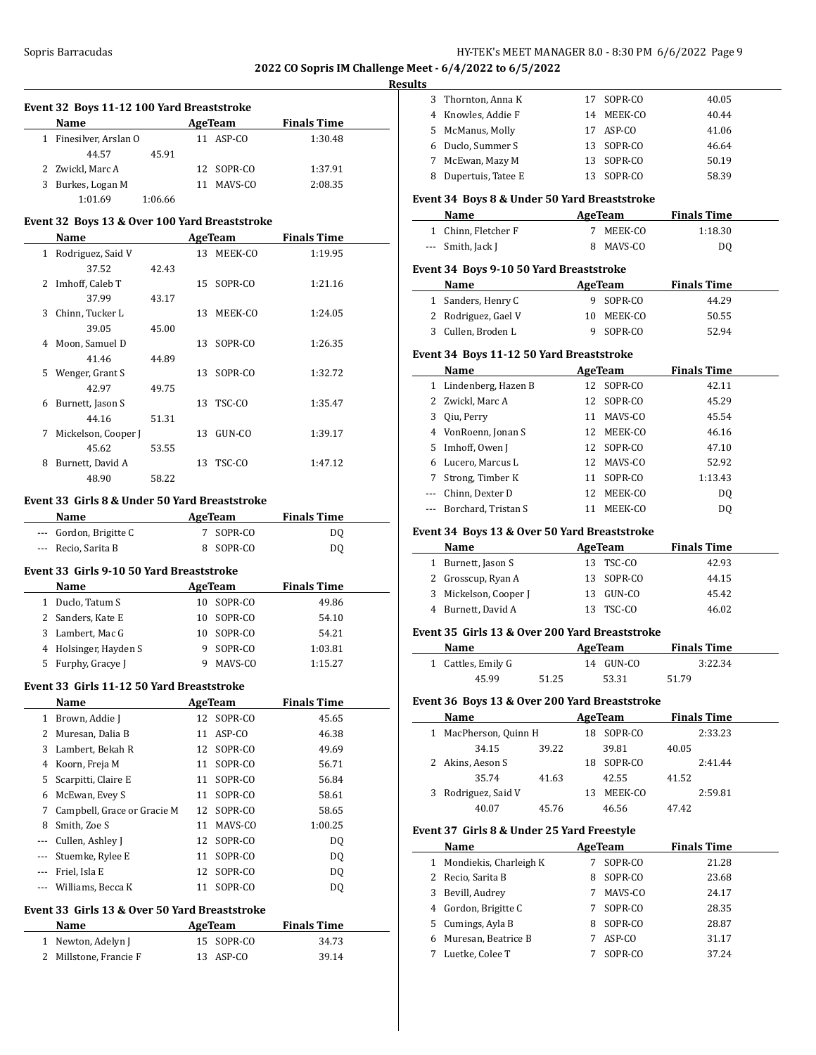#### **Results**

| Event 32 Boys 11-12 100 Yard Breaststroke |  |
|-------------------------------------------|--|
|-------------------------------------------|--|

| Name                   | AgeTeam    | <b>Finals Time</b> |  |
|------------------------|------------|--------------------|--|
| 1 Finesilver, Arslan O | 11 ASP-CO  | 1:30.48            |  |
| 44.57<br>45.91         |            |                    |  |
| 2 Zwickl, Marc A       | 12 SOPR-CO | 1:37.91            |  |
| 3 Burkes, Logan M      | MAVS-CO    | 2:08.35            |  |
| 1:01.69<br>1:06.66     |            |                    |  |

#### **Event 32 Boys 13 & Over 100 Yard Breaststroke**

|    | Name                |       |    | AgeTeam    | <b>Finals Time</b> |  |
|----|---------------------|-------|----|------------|--------------------|--|
| 1  | Rodriguez, Said V   |       |    | 13 MEEK-CO | 1:19.95            |  |
|    | 37.52               | 42.43 |    |            |                    |  |
| 2  | Imhoff, Caleb T     |       |    | 15 SOPR-CO | 1:21.16            |  |
|    | 37.99               | 43.17 |    |            |                    |  |
| 3  | Chinn, Tucker L     |       | 13 | MEEK-CO    | 1:24.05            |  |
|    | 39.05               | 45.00 |    |            |                    |  |
| 4  | Moon, Samuel D      |       |    | 13 SOPR-CO | 1:26.35            |  |
|    | 41.46               | 44.89 |    |            |                    |  |
| 5. | Wenger, Grant S     |       | 13 | SOPR-CO    | 1:32.72            |  |
|    | 42.97               | 49.75 |    |            |                    |  |
| 6  | Burnett, Jason S    |       |    | 13 TSC-CO  | 1:35.47            |  |
|    | 44.16               | 51.31 |    |            |                    |  |
| 7  | Mickelson, Cooper J |       | 13 | GUN-CO     | 1:39.17            |  |
|    | 45.62               | 53.55 |    |            |                    |  |
| 8  | Burnett, David A    |       | 13 | TSC-CO     | 1:47.12            |  |
|    | 48.90               | 58.22 |    |            |                    |  |

#### **Event 33 Girls 8 & Under 50 Yard Breaststroke**

| Name                   | AgeTeam   | <b>Finals Time</b> |  |
|------------------------|-----------|--------------------|--|
| --- Gordon, Brigitte C | 7 SOPR-CO | DO.                |  |
| --- Recio, Sarita B    | 8 SOPR-CO | DO.                |  |

# **Event 33 Girls 9-10 50 Yard Breaststroke**

|    | Name                  | AgeTeam    | <b>Finals Time</b> |
|----|-----------------------|------------|--------------------|
| 1. | Duclo, Tatum S        | 10 SOPR-CO | 49.86              |
|    | 2 Sanders, Kate E     | 10 SOPR-CO | 54.10              |
|    | 3 Lambert, Mac G      | 10 SOPR-CO | 54.21              |
|    | 4 Holsinger, Hayden S | 9 SOPR-CO  | 1:03.81            |
| 5. | Furphy, Gracye J      | MAVS-CO    | 1:15.27            |

#### **Event 33 Girls 11-12 50 Yard Breaststroke**

|          | Name                        |    | AgeTeam    | <b>Finals Time</b> |  |
|----------|-----------------------------|----|------------|--------------------|--|
|          | 1 Brown, Addie J            |    | 12 SOPR-CO | 45.65              |  |
|          | 2 Muresan, Dalia B          | 11 | ASP-CO     | 46.38              |  |
| 3.       | Lambert, Bekah R            |    | 12 SOPR-CO | 49.69              |  |
| 4        | Koorn, Freja M              |    | 11 SOPR-CO | 56.71              |  |
| 5.       | Scarpitti, Claire E         |    | 11 SOPR-CO | 56.84              |  |
| 6        | McEwan, Evey S              |    | 11 SOPR-CO | 58.61              |  |
| 7        | Campbell, Grace or Gracie M |    | 12 SOPR-CO | 58.65              |  |
| 8        | Smith, Zoe S                | 11 | MAVS-CO    | 1:00.25            |  |
|          | --- Cullen, Ashley J        |    | 12 SOPR-CO | DQ                 |  |
| $\cdots$ | Stuemke, Rylee E            | 11 | SOPR-CO    | DQ                 |  |
|          | Friel, Isla E               |    | 12 SOPR-CO | D <sub>0</sub>     |  |
| $---$    | Williams, Becca K           | 11 | SOPR-CO    | DQ                 |  |

#### **Event 33 Girls 13 & Over 50 Yard Breaststroke**

| Name                   | AgeTeam    | <b>Finals Time</b> |
|------------------------|------------|--------------------|
| 1 Newton, Adelyn J     | 15 SOPR-CO | 34.73              |
| 2 Millstone, Francie F | 13 ASP-CO  | 39.14              |

| 3              | Thornton, Anna K                             | 17 | SOPR-CO | 40.05              |  |
|----------------|----------------------------------------------|----|---------|--------------------|--|
| $\overline{4}$ | Knowles, Addie F                             | 14 | MEEK-CO | 40.44              |  |
| 5              | McManus, Molly                               | 17 | ASP-CO  | 41.06              |  |
| 6              | Duclo, Summer S                              | 13 | SOPR-CO | 46.64              |  |
| 7              | McEwan, Mazy M                               | 13 | SOPR-CO | 50.19              |  |
| 8              | Dupertuis, Tatee E                           | 13 | SOPR-CO | 58.39              |  |
|                | Event 34 Boys 8 & Under 50 Yard Breaststroke |    |         |                    |  |
|                | Name                                         |    | AgeTeam | <b>Finals Time</b> |  |
| $\mathbf{1}$   | Chinn, Fletcher F                            | 7  | MEEK-CO | 1:18.30            |  |
| $\overline{a}$ | Smith, Jack J                                | 8  | MAVS-CO | DQ                 |  |
|                |                                              |    |         |                    |  |
|                | Event 34 Boys 9-10 50 Yard Breaststroke      |    |         |                    |  |
|                | Name                                         |    | AgeTeam | <b>Finals Time</b> |  |
| $\mathbf{1}$   | Sanders, Henry C                             | 9  | SOPR-CO | 44.29              |  |
| 2              | Rodriguez, Gael V                            | 10 | MEEK-CO | 50.55              |  |
| 3              | Cullen, Broden L                             | 9  | SOPR-CO | 52.94              |  |
|                | Event 34 Boys 11-12 50 Yard Breaststroke     |    |         |                    |  |
|                | Name                                         |    | AgeTeam | <b>Finals Time</b> |  |
| 1              | Lindenberg, Hazen B                          | 12 | SOPR-CO | 42.11              |  |
| 2              | Zwickl, Marc A                               | 12 | SOPR-CO | 45.29              |  |
| 3              | Qiu, Perry                                   | 11 | MAVS-CO | 45.54              |  |
| 4              | VonRoenn, Jonan S                            | 12 | MEEK-CO | 46.16              |  |
| 5              | Imhoff, Owen J                               | 12 | SOPR-CO | 47.10              |  |
| 6              | Lucero, Marcus L                             | 12 | MAVS-CO | 52.92              |  |
| 7              | Strong, Timber K                             | 11 | SOPR-CO | 1:13.43            |  |
|                | Chinn, Dexter D                              | 12 | MEEK-CO | D <sub>0</sub>     |  |
|                | Borchard, Tristan S                          | 11 | MEEK-CO | DQ                 |  |

#### **Event 34 Boys 13 & Over 50 Yard Breaststroke**

| Name                  | AgeTeam    | <b>Finals Time</b> |  |
|-----------------------|------------|--------------------|--|
| 1 Burnett, Jason S    | 13 TSC-CO  | 42.93              |  |
| 2 Grosscup, Ryan A    | 13 SOPR-CO | 44.15              |  |
| 3 Mickelson, Cooper J | 13 GUN-CO  | 45.42              |  |
| 4 Burnett, David A    | 13 TSC-CO  | 46.02              |  |

# **Event 35 Girls 13 & Over 200 Yard Breaststroke**

| Name               |       | AgeTeam   | <b>Finals Time</b> |  |
|--------------------|-------|-----------|--------------------|--|
| 1 Cattles, Emily G |       | 14 GUN-CO | 3:22.34            |  |
| 45.99              | 51.25 | 53.31     | 51.79              |  |

# **Event 36 Boys 13 & Over 200 Yard Breaststroke**

| Name                  |       |     | AgeTeam |       | <b>Finals Time</b> |
|-----------------------|-------|-----|---------|-------|--------------------|
| 1 MacPherson, Quinn H |       | 18  | SOPR-CO |       | 2:33.23            |
| 34.15                 | 39.22 |     | 39.81   | 40.05 |                    |
| 2 Akins, Aeson S      |       | 18. | SOPR-CO |       | 2:41.44            |
| 35.74                 | 41.63 |     | 42.55   | 41.52 |                    |
| 3 Rodriguez, Said V   |       | 13  | MEEK-CO |       | 2:59.81            |
| 40.07                 | 45.76 |     | 46.56   | 47.42 |                    |

#### **Event 37 Girls 8 & Under 25 Yard Freestyle**

|              | Name                   |   | AgeTeam | <b>Finals Time</b> |
|--------------|------------------------|---|---------|--------------------|
| $\mathbf{1}$ | Mondiekis, Charleigh K |   | SOPR-CO | 21.28              |
|              | 2 Recio, Sarita B      | 8 | SOPR-CO | 23.68              |
| 3            | Bevill, Audrey         |   | MAVS-CO | 24.17              |
|              | 4 Gordon, Brigitte C   |   | SOPR-CO | 28.35              |
|              | 5 Cumings, Ayla B      | 8 | SOPR-CO | 28.87              |
| 6            | Muresan, Beatrice B    |   | ASP-CO  | 31.17              |
|              | Luetke, Colee T        |   | SOPR-CO | 37.24              |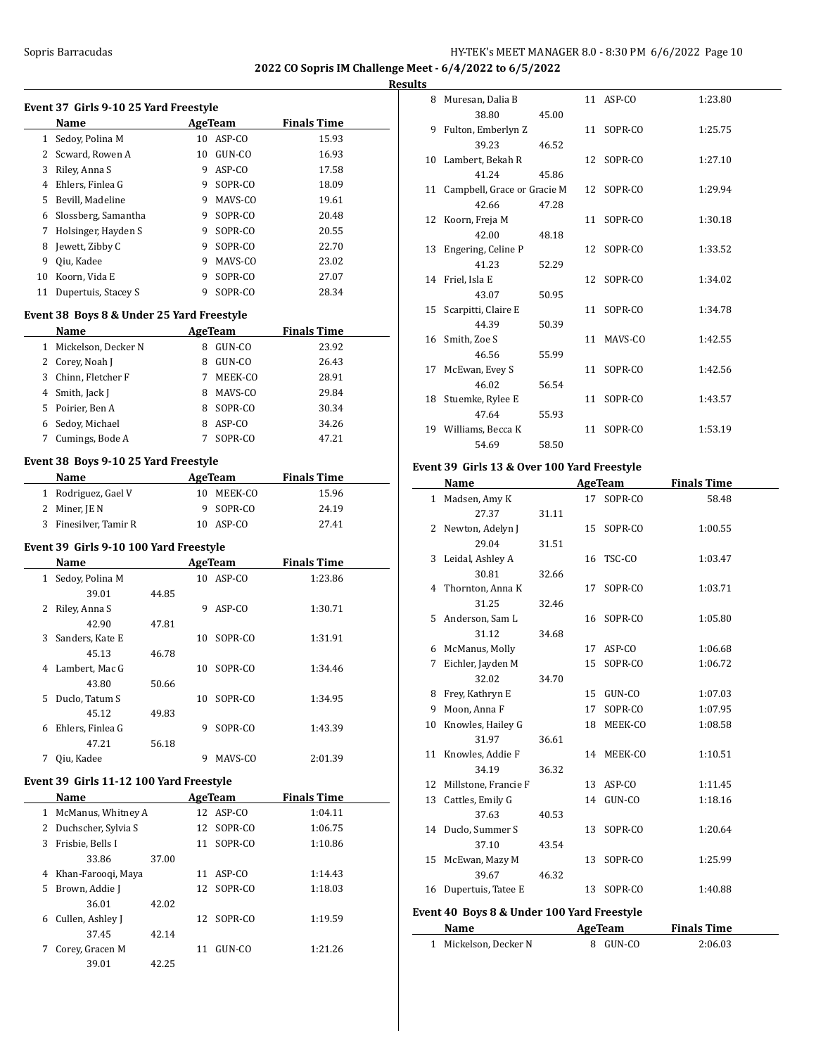**Results**

 $\sim$ 

|   |                                           |       |    |                |                    | <b>Res</b> |
|---|-------------------------------------------|-------|----|----------------|--------------------|------------|
|   | Event 37 Girls 9-10 25 Yard Freestyle     |       |    |                |                    |            |
|   | Name                                      |       |    | <b>AgeTeam</b> | <b>Finals Time</b> |            |
|   | 1 Sedoy, Polina M                         |       |    | 10 ASP-CO      | 15.93              |            |
|   | 2 Scward, Rowen A                         |       |    | 10 GUN-CO      | 16.93              |            |
|   | 3 Riley, Anna S                           |       |    | 9 ASP-CO       | 17.58              |            |
|   | 4 Ehlers, Finlea G                        |       |    | 9 SOPR-CO      | 18.09              |            |
|   | 5 Bevill, Madeline                        |       |    | 9 MAVS-CO      | 19.61              |            |
| 6 | Slossberg, Samantha                       |       |    | 9 SOPR-CO      | 20.48              |            |
|   | 7 Holsinger, Hayden S                     |       |    | 9 SOPR-CO      | 20.55              |            |
| 8 | Jewett, Zibby C                           |       |    | 9 SOPR-CO      | 22.70              |            |
| 9 | Oiu, Kadee                                |       |    | 9 MAVS-CO      | 23.02              |            |
|   | 10 Koorn, Vida E                          |       | 9  | SOPR-CO        | 27.07              |            |
|   | 11 Dupertuis, Stacey S                    |       |    | 9 SOPR-CO      | 28.34              |            |
|   |                                           |       |    |                |                    |            |
|   | Event 38 Boys 8 & Under 25 Yard Freestyle |       |    |                |                    |            |
|   | Name                                      |       |    | <b>AgeTeam</b> | <b>Finals Time</b> |            |
|   | 1 Mickelson, Decker N                     |       |    | 8 GUN-CO       | 23.92              |            |
|   | 2 Corey, Noah J                           |       |    | 8 GUN-CO       | 26.43              |            |
|   | 3 Chinn, Fletcher F                       |       |    | 7 MEEK-CO      | 28.91              |            |
|   | 4 Smith, Jack J                           |       |    | 8 MAVS-CO      | 29.84              |            |
|   | 5 Poirier, Ben A                          |       |    | 8 SOPR-CO      | 30.34              |            |
|   | 6 Sedoy, Michael                          |       |    | 8 ASP-CO       | 34.26              |            |
|   | 7 Cumings, Bode A                         |       |    | 7 SOPR-CO      | 47.21              |            |
|   | Event 38 Boys 9-10 25 Yard Freestyle      |       |    |                |                    |            |
|   | Name                                      |       |    | <b>AgeTeam</b> | <b>Finals Time</b> |            |
|   | 1 Rodriguez, Gael V                       |       |    | 10 MEEK-CO     | 15.96              |            |
|   | 2 Miner, JE N                             |       |    | 9 SOPR-CO      | 24.19              |            |
|   | 3 Finesilver, Tamir R                     |       |    | 10 ASP-CO      | 27.41              |            |
|   |                                           |       |    |                |                    |            |
|   | Event 39 Girls 9-10 100 Yard Freestyle    |       |    |                |                    |            |
|   | Name                                      |       |    | <b>AgeTeam</b> | <b>Finals Time</b> |            |
|   | 1 Sedoy, Polina M                         |       |    | 10 ASP-CO      | 1:23.86            |            |
|   | 39.01                                     | 44.85 |    |                |                    |            |
| 2 | Riley, Anna S                             |       | 9. | ASP-CO         | 1:30.71            |            |
|   | 42.90                                     | 47.81 |    |                |                    |            |
| 3 | Sanders, Kate E                           |       | 10 | SOPR-CO        | 1:31.91            |            |
|   | 45.13                                     | 46.78 |    |                |                    |            |
|   | 4 Lambert, Mac G                          |       | 10 | SOPR-CO        | 1:34.46            |            |
|   | 43.80                                     | 50.66 |    |                |                    |            |
|   | 5 Duclo, Tatum S                          |       |    | 10 SOPR-CO     | 1:34.95            |            |
|   | 45.12                                     | 49.83 |    |                |                    |            |
| 6 | Ehlers, Finlea G                          |       | 9  | SOPR-CO        | 1:43.39            |            |
|   | 47.21                                     | 56.18 |    |                |                    |            |
| 7 | Qiu, Kadee                                |       | 9  | MAVS-CO        | 2:01.39            |            |
|   | Event 39 Girls 11-12 100 Yard Freestyle   |       |    |                |                    |            |
|   | Name                                      |       |    | <b>AgeTeam</b> | <b>Finals Time</b> |            |
|   | 1 McManus, Whitney A                      |       |    | 12 ASP-CO      | 1:04.11            |            |
|   | 2 Duchscher, Sylvia S                     |       | 12 | SOPR-CO        | 1:06.75            |            |
|   | 3 Frisbie, Bells I                        |       | 11 | SOPR-CO        | 1:10.86            |            |
|   | 33.86                                     | 37.00 |    |                |                    |            |
| 4 | Khan-Farooqi, Maya                        |       |    | 11 ASP-CO      | 1:14.43            |            |
| 5 | Brown, Addie J                            |       | 12 | SOPR-CO        |                    |            |
|   |                                           |       |    |                | 1:18.03            |            |
|   | 36.01                                     | 42.02 |    |                |                    |            |
| 6 | Cullen, Ashley J                          |       | 12 | SOPR-CO        | 1:19.59            |            |
|   | 37.45                                     | 42.14 |    |                |                    |            |
| 7 | Corey, Gracen M                           |       |    | 11 GUN-CO      | 1:21.26            |            |
|   | 39.01                                     | 42.25 |    |                |                    |            |

| Ð  |                                |       |    |            |         |
|----|--------------------------------|-------|----|------------|---------|
| 8  | Muresan, Dalia B               |       |    | 11 ASP-CO  | 1:23.80 |
|    | 38.80                          | 45.00 |    |            |         |
| 9  | Fulton, Emberlyn Z             |       |    | 11 SOPR-CO | 1:25.75 |
|    | 39.23                          | 46.52 |    |            |         |
|    | 10 Lambert, Bekah R            |       |    | 12 SOPR-CO | 1:27.10 |
|    | 41.24                          | 45.86 |    |            |         |
|    | 11 Campbell, Grace or Gracie M |       |    | 12 SOPR-CO | 1:29.94 |
|    | 42.66                          | 47.28 |    |            |         |
|    | 12 Koorn, Freja M              |       |    | 11 SOPR-CO | 1:30.18 |
|    | 42.00                          | 48.18 |    |            |         |
|    | 13 Engering, Celine P          |       |    | 12 SOPR-CO | 1:33.52 |
|    | 41.23                          | 52.29 |    |            |         |
|    | 14 Friel, Isla E               |       |    | 12 SOPR-CO | 1:34.02 |
|    | 43.07                          | 50.95 |    |            |         |
|    | 15 Scarpitti, Claire E         |       |    | 11 SOPR-CO | 1:34.78 |
|    | 44.39                          | 50.39 |    |            |         |
|    | 16 Smith, Zoe S                |       |    | 11 MAVS-CO | 1:42.55 |
|    | 46.56                          | 55.99 |    |            |         |
| 17 | McEwan, Evey S                 |       |    | 11 SOPR-CO | 1:42.56 |
|    | 46.02                          | 56.54 |    |            |         |
|    | 18 Stuemke, Rylee E            |       |    | 11 SOPR-CO | 1:43.57 |
|    | 47.64                          | 55.93 |    |            |         |
| 19 | Williams, Becca K              |       | 11 | SOPR-CO    | 1:53.19 |
|    | 54.69                          | 58.50 |    |            |         |
|    |                                |       |    |            |         |

# **Event 39 Girls 13 & Over 100 Yard Freestyle**

|              | Name                                       |       |    | <b>AgeTeam</b> | <b>Finals Time</b> |
|--------------|--------------------------------------------|-------|----|----------------|--------------------|
| $\mathbf{1}$ | Madsen, Amy K                              |       |    | 17 SOPR-CO     | 58.48              |
|              | 27.37                                      | 31.11 |    |                |                    |
| 2            | Newton, Adelyn J                           |       | 15 | SOPR-CO        | 1:00.55            |
|              | 29.04                                      | 31.51 |    |                |                    |
| 3            | Leidal, Ashley A                           |       |    | 16 TSC-CO      | 1:03.47            |
|              | 30.81                                      | 32.66 |    |                |                    |
| 4            | Thornton, Anna K                           |       | 17 | SOPR-CO        | 1:03.71            |
|              | 31.25                                      | 32.46 |    |                |                    |
| 5.           | Anderson, Sam L                            |       |    | 16 SOPR-CO     | 1:05.80            |
|              | 31.12                                      | 34.68 |    |                |                    |
| 6            | McManus, Molly                             |       | 17 | ASP-CO         | 1:06.68            |
| 7            | Eichler, Jayden M                          |       | 15 | SOPR-CO        | 1:06.72            |
|              | 32.02                                      | 34.70 |    |                |                    |
| 8            | Frey, Kathryn E                            |       | 15 | GUN-CO         | 1:07.03            |
| 9            | Moon, Anna F                               |       | 17 | SOPR-CO        | 1:07.95            |
| 10           | Knowles, Hailey G                          |       | 18 | MEEK-CO        | 1:08.58            |
|              | 31.97                                      | 36.61 |    |                |                    |
|              | 11 Knowles, Addie F                        |       |    | 14 MEEK-CO     | 1:10.51            |
|              | 34.19                                      | 36.32 |    |                |                    |
| 12           | Millstone, Francie F                       |       | 13 | ASP-CO         | 1:11.45            |
|              | 13 Cattles, Emily G                        |       |    | 14 GUN-CO      | 1:18.16            |
|              | 37.63                                      | 40.53 |    |                |                    |
|              | 14 Duclo, Summer S                         |       | 13 | SOPR-CO        | 1:20.64            |
|              | 37.10                                      | 43.54 |    |                |                    |
|              | 15 McEwan, Mazy M                          |       | 13 | SOPR-CO        | 1:25.99            |
|              | 39.67                                      | 46.32 |    |                |                    |
|              | 16 Dupertuis, Tatee E                      |       |    | 13 SOPR-CO     | 1:40.88            |
|              | Event 40 Boys 8 & Under 100 Yard Freestyle |       |    |                |                    |
|              | <b>Name</b>                                |       |    | <b>AgeTeam</b> | <b>Finals Time</b> |
|              | 1 Mickelson, Decker N                      |       | 8  | GUN-CO         | 2:06.03            |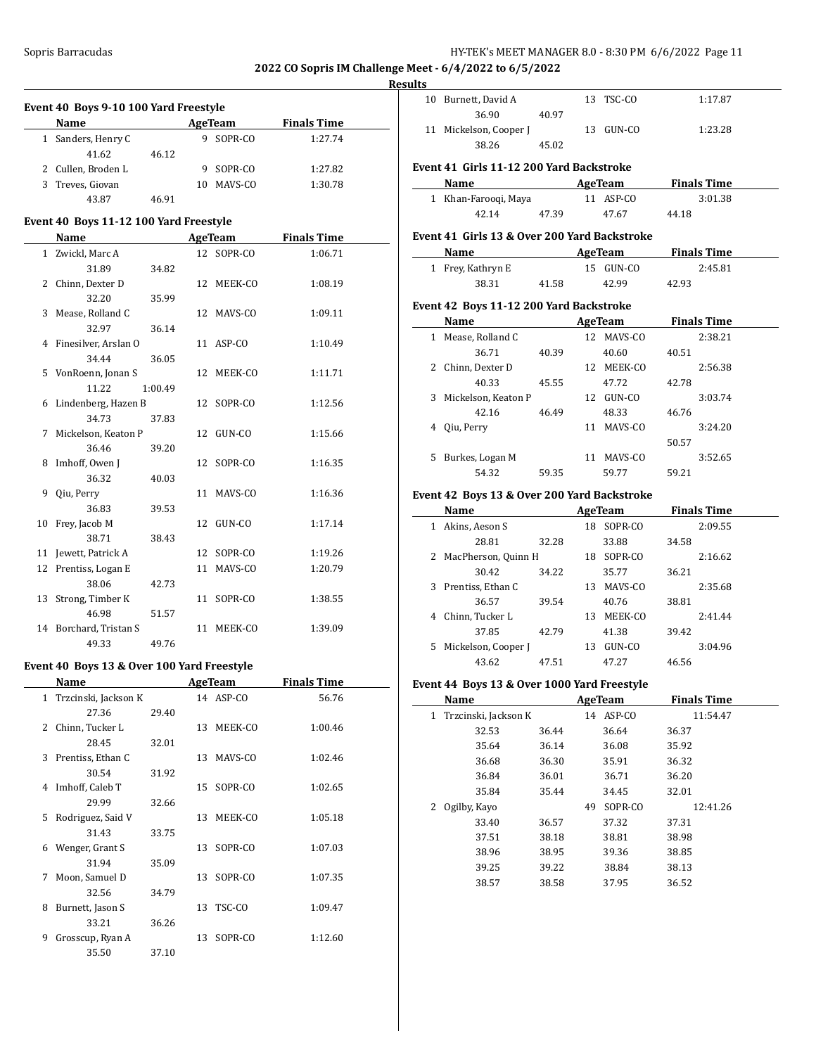$\overline{a}$ 

#### **Results**

| Event 40 Boys 9-10 100 Yard Freestyle |                                        |         |    |            |                    |  |
|---------------------------------------|----------------------------------------|---------|----|------------|--------------------|--|
|                                       | <b>Name</b>                            |         |    | AgeTeam    | <b>Finals Time</b> |  |
| $\mathbf{1}$                          | Sanders, Henry C                       |         | 9  | SOPR-CO    | 1:27.74            |  |
|                                       | 41.62                                  | 46.12   |    |            |                    |  |
|                                       | 2 Cullen, Broden L                     |         | 9  | SOPR-CO    | 1:27.82            |  |
|                                       | 3 Treves, Giovan                       |         |    | 10 MAVS-CO | 1:30.78            |  |
|                                       | 43.87                                  | 46.91   |    |            |                    |  |
|                                       | Event 40 Boys 11-12 100 Yard Freestyle |         |    |            |                    |  |
|                                       | Name                                   |         |    | AgeTeam    | <b>Finals Time</b> |  |
|                                       | 1 Zwickl, Marc A                       |         |    | 12 SOPR-CO | 1:06.71            |  |
|                                       | 31.89                                  | 34.82   |    |            |                    |  |
|                                       | 2 Chinn, Dexter D                      |         | 12 | MEEK-CO    | 1:08.19            |  |
|                                       | 32.20                                  | 35.99   |    |            |                    |  |
| 3                                     | Mease, Rolland C                       |         | 12 | MAVS-CO    | 1:09.11            |  |
|                                       | 32.97                                  | 36.14   |    |            |                    |  |
|                                       | 4 Finesilver, Arslan O                 |         |    | 11 ASP-CO  | 1:10.49            |  |
|                                       | 34.44                                  | 36.05   |    |            |                    |  |
| 5                                     | VonRoenn, Jonan S                      |         | 12 | MEEK-CO    | 1:11.71            |  |
|                                       | 11.22                                  | 1:00.49 |    |            |                    |  |
| 6                                     | Lindenberg, Hazen B                    |         | 12 | SOPR-CO    | 1:12.56            |  |
|                                       | 34.73                                  | 37.83   |    |            |                    |  |
| 7                                     | Mickelson, Keaton P                    |         | 12 | GUN-CO     | 1:15.66            |  |
|                                       | 36.46                                  | 39.20   |    |            |                    |  |
| 8                                     | Imhoff, Owen J                         |         | 12 | SOPR-CO    | 1:16.35            |  |
|                                       | 36.32                                  | 40.03   |    |            |                    |  |
| 9                                     | Qiu, Perry                             |         | 11 | MAVS-CO    | 1:16.36            |  |
|                                       | 36.83                                  | 39.53   |    |            |                    |  |
| 10                                    | Frey, Jacob M                          |         | 12 | GUN-CO     | 1:17.14            |  |
|                                       | 38.71                                  | 38.43   |    |            |                    |  |
|                                       | 11 Jewett, Patrick A                   |         |    | 12 SOPR-CO | 1:19.26            |  |
|                                       | 12 Prentiss, Logan E                   |         | 11 | MAVS-CO    | 1:20.79            |  |
|                                       | 38.06                                  | 42.73   |    |            |                    |  |
| 13                                    | Strong, Timber K                       |         | 11 | SOPR-CO    | 1:38.55            |  |
|                                       | 46.98                                  | 51.57   |    |            |                    |  |
|                                       | 14 Borchard, Tristan S                 |         | 11 | MEEK-CO    | 1:39.09            |  |
|                                       | 49.33                                  | 49.76   |    |            |                    |  |

# **Event 40 Boys 13 & Over 100 Yard Freestyle**

 $\overline{\phantom{a}}$ 

|              | Name                 |       |    | AgeTeam   | <b>Finals Time</b> |  |
|--------------|----------------------|-------|----|-----------|--------------------|--|
| $\mathbf{1}$ | Trzcinski, Jackson K |       |    | 14 ASP-CO | 56.76              |  |
|              | 27.36                | 29.40 |    |           |                    |  |
| 2            | Chinn, Tucker L      |       | 13 | MEEK-CO   | 1:00.46            |  |
|              | 28.45                | 32.01 |    |           |                    |  |
| 3            | Prentiss, Ethan C    |       | 13 | MAVS-CO   | 1:02.46            |  |
|              | 30.54                | 31.92 |    |           |                    |  |
| 4            | Imhoff, Caleb T      |       | 15 | SOPR-CO   | 1:02.65            |  |
|              | 29.99                | 32.66 |    |           |                    |  |
| 5            | Rodriguez, Said V    |       | 13 | MEEK-CO   | 1:05.18            |  |
|              | 31.43                | 33.75 |    |           |                    |  |
| 6            | Wenger, Grant S      |       | 13 | SOPR-CO   | 1:07.03            |  |
|              | 31.94                | 35.09 |    |           |                    |  |
| 7            | Moon, Samuel D       |       | 13 | SOPR-CO   | 1:07.35            |  |
|              | 32.56                | 34.79 |    |           |                    |  |
| 8            | Burnett, Jason S     |       | 13 | TSC-CO    | 1:09.47            |  |
|              | 33.21                | 36.26 |    |           |                    |  |
| 9            | Grosscup, Ryan A     |       | 13 | SOPR-CO   | 1:12.60            |  |
|              | 35.50                | 37.10 |    |           |                    |  |

| 10 Burnett, David A    |       | 13 TSC-CO | 1:17.87 |
|------------------------|-------|-----------|---------|
| 36.90                  | 40.97 |           |         |
| 11 Mickelson, Cooper J |       | 13 GUN-CO | 1:23.28 |
| 38.26                  | 45.02 |           |         |
|                        |       |           |         |

# **Event 41 Girls 11-12 200 Yard Backstroke**

| Name                 |       | AgeTeam   |       | <b>Finals Time</b> |
|----------------------|-------|-----------|-------|--------------------|
| 1 Khan-Faroogi, Maya |       | 11 ASP-CO |       | 3:01.38            |
| 42.14                | 47.39 | 47.67     | 44.18 |                    |

# **Event 41 Girls 13 & Over 200 Yard Backstroke**

| <b>Name</b>       |       | AgeTeam   | <b>Finals Time</b> |  |
|-------------------|-------|-----------|--------------------|--|
| 1 Frey, Kathryn E |       | 15 GUN-CO | 2:45.81            |  |
| 38.31             | 41.58 | 42.99     | 42.93              |  |

#### **Event 42 Boys 11-12 200 Yard Backstroke**

| Name |                     |       | AgeTeam |         |       | <b>Finals Time</b> |
|------|---------------------|-------|---------|---------|-------|--------------------|
|      | Mease, Rolland C    |       | 12      | MAVS-CO |       | 2:38.21            |
|      | 36.71               | 40.39 |         | 40.60   | 40.51 |                    |
| 2    | Chinn, Dexter D     |       | 12      | MEEK-CO |       | 2:56.38            |
|      | 40.33               | 45.55 |         | 47.72   | 42.78 |                    |
| 3    | Mickelson, Keaton P |       | 12      | GUN-CO  |       | 3:03.74            |
|      | 42.16               | 46.49 |         | 48.33   | 46.76 |                    |
| 4    | Oiu, Perry          |       | 11      | MAVS-CO |       | 3:24.20            |
|      |                     |       |         |         | 50.57 |                    |
| 5.   | Burkes, Logan M     |       | 11      | MAVS-CO |       | 3:52.65            |
|      | 54.32               | 59.35 |         | 59.77   | 59.21 |                    |

#### **Event 42 Boys 13 & Over 200 Yard Backstroke**

|    | Name                |       |    | AgeTeam |       | <b>Finals Time</b> |
|----|---------------------|-------|----|---------|-------|--------------------|
|    | Akins, Aeson S      |       | 18 | SOPR-CO |       | 2:09.55            |
|    | 28.81               | 32.28 |    | 33.88   | 34.58 |                    |
| 2  | MacPherson, Quinn H |       | 18 | SOPR-CO |       | 2:16.62            |
|    | 30.42               | 34.22 |    | 35.77   | 36.21 |                    |
| 3  | Prentiss, Ethan C   |       | 13 | MAVS-CO |       | 2:35.68            |
|    | 36.57               | 39.54 |    | 40.76   | 38.81 |                    |
| 4  | Chinn, Tucker L     |       | 13 | MEEK-CO |       | 2:41.44            |
|    | 37.85               | 42.79 |    | 41.38   | 39.42 |                    |
| 5. | Mickelson, Cooper J |       | 13 | GUN-CO  |       | 3:04.96            |
|    | 43.62               | 47.51 |    | 47.27   | 46.56 |                    |

# **Event 44 Boys 13 & Over 1000 Yard Freestyle**

| Name |                      | AgeTeam |    |           | <b>Finals Time</b> |
|------|----------------------|---------|----|-----------|--------------------|
| 1    | Trzcinski, Jackson K |         |    | 14 ASP-CO | 11:54.47           |
|      | 32.53                | 36.44   |    | 36.64     | 36.37              |
|      | 35.64                | 36.14   |    | 36.08     | 35.92              |
|      | 36.68                | 36.30   |    | 35.91     | 36.32              |
|      | 36.84                | 36.01   |    | 36.71     | 36.20              |
|      | 35.84                | 35.44   |    | 34.45     | 32.01              |
| 2    | Ogilby, Kayo         |         | 49 | SOPR-CO   | 12:41.26           |
|      | 33.40                | 36.57   |    | 37.32     | 37.31              |
|      | 37.51                | 38.18   |    | 38.81     | 38.98              |
|      | 38.96                | 38.95   |    | 39.36     | 38.85              |
|      | 39.25                | 39.22   |    | 38.84     | 38.13              |
|      | 38.57                | 38.58   |    | 37.95     | 36.52              |